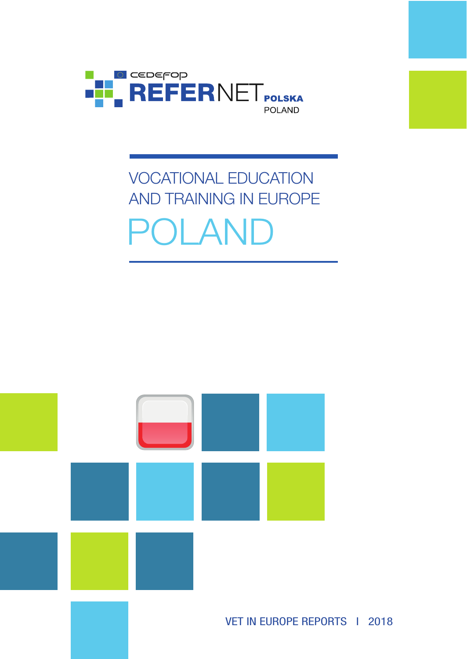

# VOCATIONAL EDUCATION AND TRAINING IN EUROPE POLAND

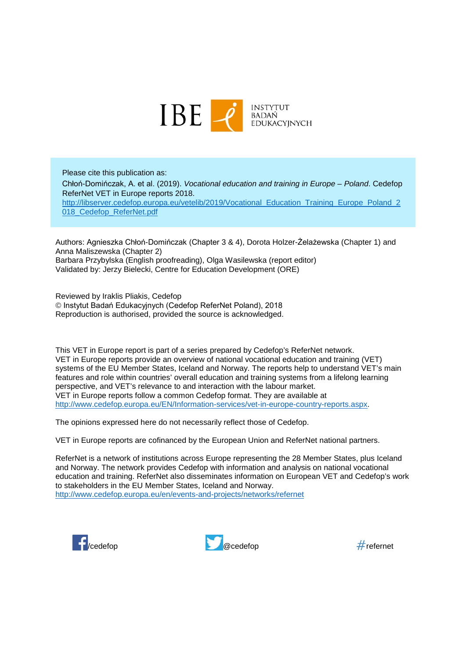

Please cite this publication as: Chłoń-Domińczak, A. et al. (2019). *Vocational education and training in Europe – Poland*. Cedefop ReferNet VET in Europe reports 2018. [http://libserver.cedefop.europa.eu/vetelib/2019/Vocational\\_Education\\_Training\\_Europe\\_Poland\\_2](http://libserver.cedefop.europa.eu/vetelib/2019/Vocational_Education_Training_Europe_Poland_2018_Cedefop_ReferNet.pdf) 018 Cedefop ReferNet.pdf

Authors: Agnieszka Chłoń-Domińczak (Chapter 3 & 4), Dorota Holzer-Żelażewska (Chapter 1) and Anna Maliszewska (Chapter 2) Barbara Przybylska (English proofreading), Olga Wasilewska (report editor) Validated by: Jerzy Bielecki, Centre for Education Development (ORE)

Reviewed by Iraklis Pliakis, Cedefop © Instytut Badań Edukacyjnych (Cedefop ReferNet Poland), 2018 Reproduction is authorised, provided the source is acknowledged.

This VET in Europe report is part of a series prepared by Cedefop's ReferNet network. VET in Europe reports provide an overview of national vocational education and training (VET) systems of the EU Member States, Iceland and Norway. The reports help to understand VET's main features and role within countries' overall education and training systems from a lifelong learning perspective, and VET's relevance to and interaction with the labour market. VET in Europe reports follow a common Cedefop format. They are available at [http://www.cedefop.europa.eu/EN/Information-services/vet-in-europe-country-reports.aspx.](http://www.cedefop.europa.eu/EN/Information-services/vet-in-europe-country-reports.aspx)

The opinions expressed here do not necessarily reflect those of Cedefop.

VET in Europe reports are cofinanced by the European Union and ReferNet national partners.

ReferNet is a network of institutions across Europe representing the 28 Member States, plus Iceland and Norway. The network provides Cedefop with information and analysis on national vocational education and training. ReferNet also disseminates information on European VET and Cedefop's work to stakeholders in the EU Member States, Iceland and Norway. <http://www.cedefop.europa.eu/en/events-and-projects/networks/refernet>



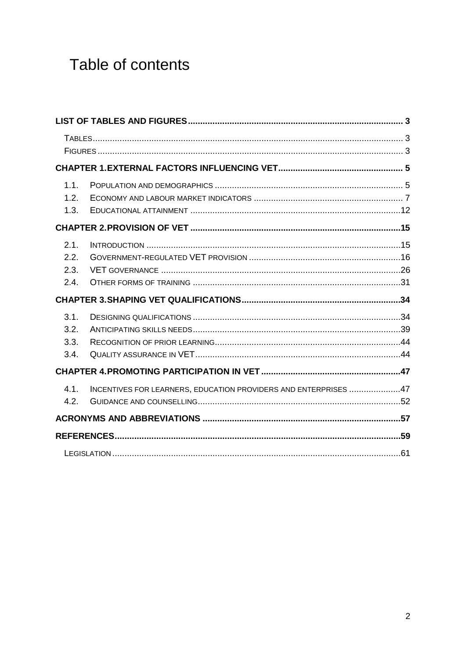## Table of contents

| 1.1.<br>1.2.<br>1.3.         |                                                                 |  |
|------------------------------|-----------------------------------------------------------------|--|
|                              |                                                                 |  |
| 2.1.<br>2.2.<br>2.3.<br>2.4. |                                                                 |  |
|                              |                                                                 |  |
| 3.1.<br>3.2.<br>3.3.<br>3.4. |                                                                 |  |
|                              |                                                                 |  |
| 4.1.<br>4.2.                 | INCENTIVES FOR LEARNERS, EDUCATION PROVIDERS AND ENTERPRISES 47 |  |
|                              |                                                                 |  |
|                              |                                                                 |  |
|                              |                                                                 |  |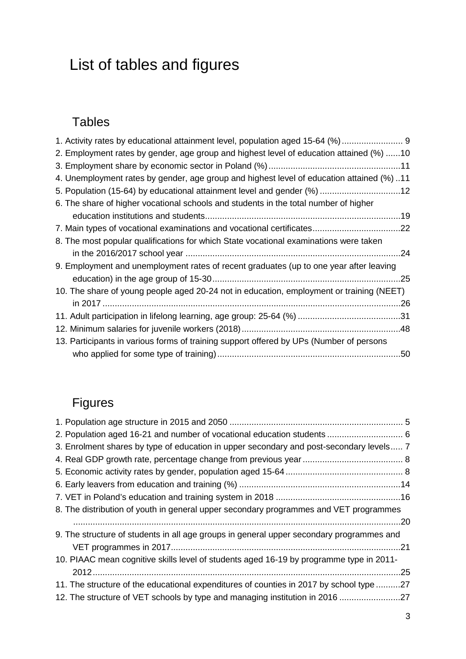## <span id="page-3-0"></span>List of tables and figures

## <span id="page-3-1"></span>Tables

| 1. Activity rates by educational attainment level, population aged 15-64 (%)  9          |  |
|------------------------------------------------------------------------------------------|--|
| 2. Employment rates by gender, age group and highest level of education attained (%) 10  |  |
|                                                                                          |  |
| 4. Unemployment rates by gender, age group and highest level of education attained (%)11 |  |
| 5. Population (15-64) by educational attainment level and gender (%) 12                  |  |
| 6. The share of higher vocational schools and students in the total number of higher     |  |
|                                                                                          |  |
|                                                                                          |  |
| 8. The most popular qualifications for which State vocational examinations were taken    |  |
|                                                                                          |  |
| 9. Employment and unemployment rates of recent graduates (up to one year after leaving   |  |
|                                                                                          |  |
| 10. The share of young people aged 20-24 not in education, employment or training (NEET) |  |
|                                                                                          |  |
|                                                                                          |  |
|                                                                                          |  |
| 13. Participants in various forms of training support offered by UPs (Number of persons  |  |
|                                                                                          |  |

## <span id="page-3-2"></span>Figures

| 2. Population aged 16-21 and number of vocational education students  6                  |  |
|------------------------------------------------------------------------------------------|--|
| 3. Enrolment shares by type of education in upper secondary and post-secondary levels 7  |  |
|                                                                                          |  |
|                                                                                          |  |
|                                                                                          |  |
|                                                                                          |  |
| 8. The distribution of youth in general upper secondary programmes and VET programmes    |  |
|                                                                                          |  |
| 9. The structure of students in all age groups in general upper secondary programmes and |  |
|                                                                                          |  |
| 10. PIAAC mean cognitive skills level of students aged 16-19 by programme type in 2011-  |  |
| .25                                                                                      |  |
| 11. The structure of the educational expenditures of counties in 2017 by school type 27  |  |
| 12. The structure of VET schools by type and managing institution in 2016 27             |  |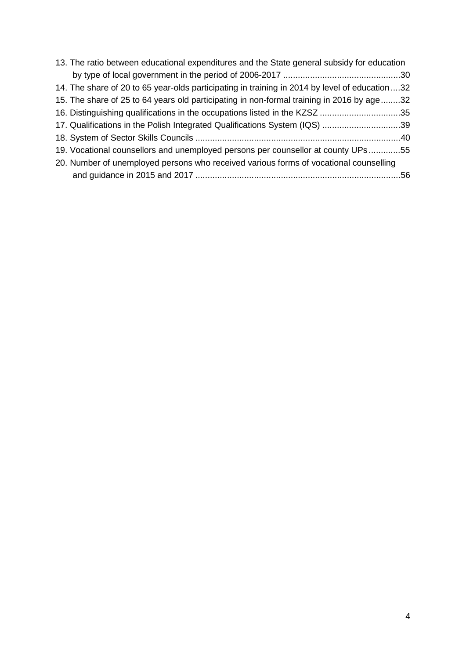| 13. The ratio between educational expenditures and the State general subsidy for education    |  |
|-----------------------------------------------------------------------------------------------|--|
|                                                                                               |  |
| 14. The share of 20 to 65 year-olds participating in training in 2014 by level of education32 |  |
| 15. The share of 25 to 64 years old participating in non-formal training in 2016 by age32     |  |
| 16. Distinguishing qualifications in the occupations listed in the KZSZ 35                    |  |
| 17. Qualifications in the Polish Integrated Qualifications System (IQS) 39                    |  |
|                                                                                               |  |
| 19. Vocational counsellors and unemployed persons per counsellor at county UPs55              |  |
| 20. Number of unemployed persons who received various forms of vocational counselling         |  |
|                                                                                               |  |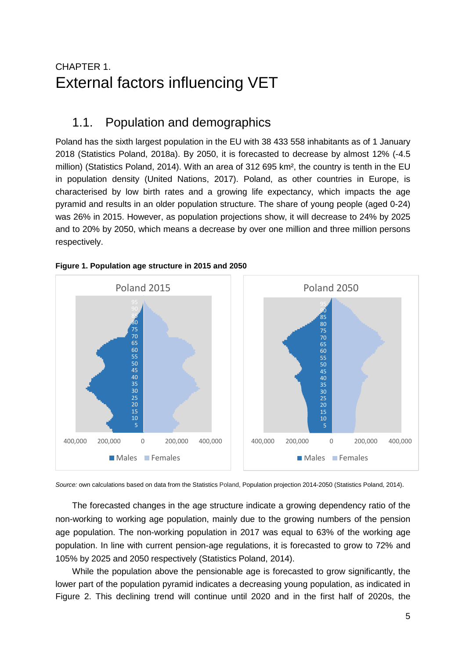## <span id="page-5-0"></span>CHAPTER 1. External factors influencing VET

## <span id="page-5-1"></span>1.1. Population and demographics

Poland has the sixth largest population in the EU with 38 433 558 inhabitants as of 1 January 2018 (Statistics Poland, 2018a). By 2050, it is forecasted to decrease by almost 12% (-4.5 million) (Statistics Poland, 2014). With an area of 312 695 km², the country is tenth in the EU in population density (United Nations, 2017). Poland, as other countries in Europe, is characterised by low birth rates and a growing life expectancy, which impacts the age pyramid and results in an older population structure. The share of young people (aged 0-24) was 26% in 2015. However, as population projections show, it will decrease to 24% by 2025 and to 20% by 2050, which means a decrease by over one million and three million persons respectively.



#### <span id="page-5-2"></span>**Figure 1. Population age structure in 2015 and 2050**

*Source:* own calculations based on data from the Statistics Poland, Population projection 2014-2050 (Statistics Poland, 2014).

The forecasted changes in the age structure indicate a growing dependency ratio of the non-working to working age population, mainly due to the growing numbers of the pension age population. The non-working population in 2017 was equal to 63% of the working age population. In line with current pension-age regulations, it is forecasted to grow to 72% and 105% by 2025 and 2050 respectively (Statistics Poland, 2014).

While the population above the pensionable age is forecasted to grow significantly, the lower part of the population pyramid indicates a decreasing young population, as indicated in Figure 2. This declining trend will continue until 2020 and in the first half of 2020s, the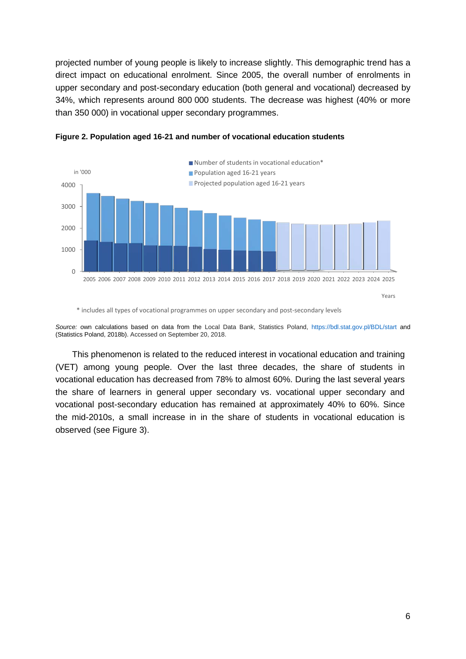projected number of young people is likely to increase slightly. This demographic trend has a direct impact on educational enrolment. Since 2005, the overall number of enrolments in upper secondary and post-secondary education (both general and vocational) decreased by 34%, which represents around 800 000 students. The decrease was highest (40% or more than 350 000) in vocational upper secondary programmes.



<span id="page-6-0"></span>**Figure 2. Population aged 16-21 and number of vocational education students**

\* includes all types of vocational programmes on upper secondary and post-secondary levels

*Source:* own calculations based on data from the Local Data Bank, Statistics Poland,<https://bdl.stat.gov.pl/BDL/start> and (Statistics Poland, 2018b). Accessed on September 20, 2018.

This phenomenon is related to the reduced interest in vocational education and training (VET) among young people. Over the last three decades, the share of students in vocational education has decreased from 78% to almost 60%. During the last several years the share of learners in general upper secondary vs. vocational upper secondary and vocational post-secondary education has remained at approximately 40% to 60%. Since the mid-2010s, a small increase in in the share of students in vocational education is observed (see Figure 3).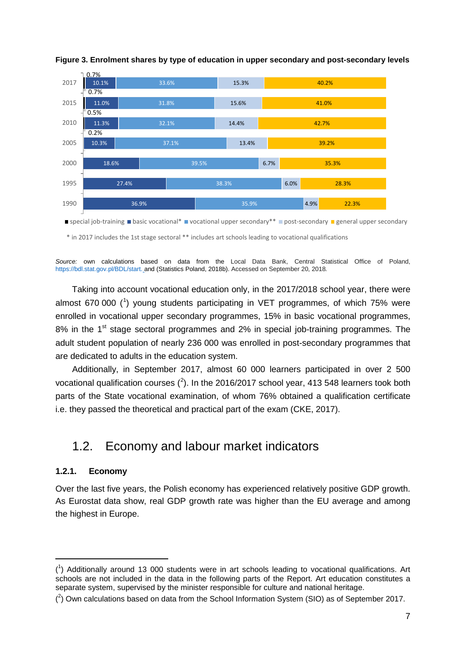

#### <span id="page-7-1"></span>**Figure 3. Enrolment shares by type of education in upper secondary and post-secondary levels**

\* in 2017 includes the 1st stage sectoral \*\* includes art schools leading to vocational qualifications

*Source:* own calculations based on data from the Local Data Bank, Central Statistical Office of Poland, [https://bdl.stat.gov.pl/BDL/start.](https://bdl.stat.gov.pl/BDL/start) and (Statistics Poland, 2018b). Accessed on September 20, 2018*.*

Taking into account vocational education only, in the 2017/2018 school year, there were almost 670 000 (<sup>[1](#page-7-2)</sup>) young students participating in VET programmes, of which 75% were enrolled in vocational upper secondary programmes, 15% in basic vocational programmes, 8% in the  $1<sup>st</sup>$  stage sectoral programmes and 2% in special job-training programmes. The adult student population of nearly 236 000 was enrolled in post-secondary programmes that are dedicated to adults in the education system.

Additionally, in September 2017, almost 60 000 learners participated in over 2 500 vocational qualification courses  $(^2)$  $(^2)$  $(^2)$ . In the 2016/2017 school year, 413 548 learners took both parts of the State vocational examination, of whom 76% obtained a qualification certificate i.e. they passed the theoretical and practical part of the exam (CKE, 2017).

### <span id="page-7-0"></span>1.2. Economy and labour market indicators

#### **1.2.1. Economy**

-

Over the last five years, the Polish economy has experienced relatively positive GDP growth. As Eurostat data show, real GDP growth rate was higher than the EU average and among the highest in Europe.

<span id="page-7-2"></span><sup>(</sup> 1 ) Additionally around 13 000 students were in art schools leading to vocational qualifications. Art schools are not included in the data in the following parts of the Report. Art education constitutes a separate system, supervised by the minister responsible for culture and national heritage.

<span id="page-7-3"></span> $({}^{2})$  Own calculations based on data from the School Information System (SIO) as of September 2017.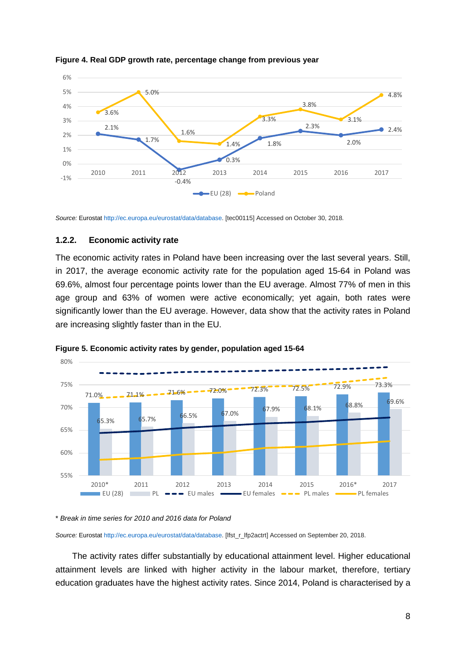

#### <span id="page-8-0"></span>**Figure 4. Real GDP growth rate, percentage change from previous year**

*Source:* Eurosta[t http://ec.europa.eu/eurostat/data/database.](http://ec.europa.eu/eurostat/data/database) [tec00115] Accessed on October 30, 2018*.*

#### **1.2.2. Economic activity rate**

The economic activity rates in Poland have been increasing over the last several years. Still, in 2017, the average economic activity rate for the population aged 15-64 in Poland was 69.6%, almost four percentage points lower than the EU average. Almost 77% of men in this age group and 63% of women were active economically; yet again, both rates were significantly lower than the EU average. However, data show that the activity rates in Poland are increasing slightly faster than in the EU.



#### <span id="page-8-1"></span>**Figure 5. Economic activity rates by gender, population aged 15-64**

\* *Break in time series for 2010 and 2016 data for Poland*

*Source:* Eurosta[t http://ec.europa.eu/eurostat/data/database.](http://ec.europa.eu/eurostat/data/database) [lfst\_r\_lfp2actrt] Accessed on September 20, 2018.

The activity rates differ substantially by educational attainment level. Higher educational attainment levels are linked with higher activity in the labour market, therefore, tertiary education graduates have the highest activity rates. Since 2014, Poland is characterised by a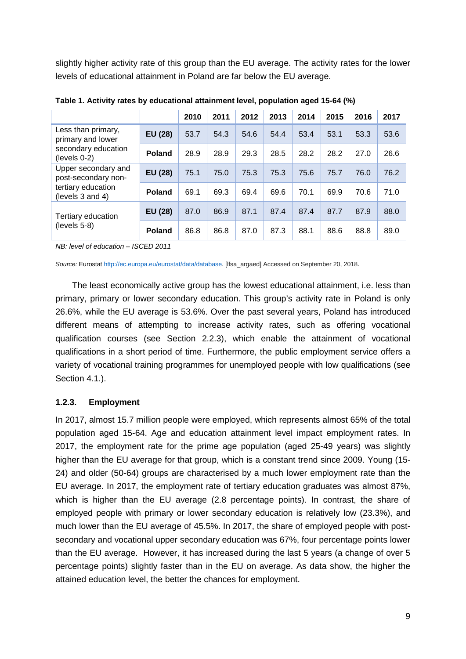slightly higher activity rate of this group than the EU average. The activity rates for the lower levels of educational attainment in Poland are far below the EU average.

|                                            |                                                                                                                                          | 2010 | 2011 | 2012 | 2013 | 2014 | 2015 | 2016 | 2017 |
|--------------------------------------------|------------------------------------------------------------------------------------------------------------------------------------------|------|------|------|------|------|------|------|------|
| Less than primary,<br>primary and lower    | EU (28)                                                                                                                                  | 53.7 | 54.3 | 54.6 | 54.4 | 53.4 | 53.1 | 53.3 | 53.6 |
| secondary education<br>(levels 0-2)        | 28.9<br>28.9<br>29.3<br>28.2<br>28.5<br>28.2<br>27.0<br><b>Poland</b><br>EU (28)<br>75.1<br>75.0<br>75.3<br>75.3<br>75.6<br>76.0<br>75.7 |      | 26.6 |      |      |      |      |      |      |
| Upper secondary and<br>post-secondary non- |                                                                                                                                          |      |      |      |      |      |      |      | 76.2 |
| tertiary education<br>(levels 3 and 4)     | <b>Poland</b>                                                                                                                            | 69.1 | 69.3 | 69.4 | 69.6 | 70.1 | 69.9 | 70.6 | 71.0 |
| Tertiary education                         | EU (28)                                                                                                                                  | 87.0 | 86.9 | 87.1 | 87.4 | 87.4 | 87.7 | 87.9 | 88.0 |
| $(levels 5-8)$                             | <b>Poland</b>                                                                                                                            | 86.8 | 86.8 | 87.0 | 87.3 | 88.1 | 88.6 | 88.8 | 89.0 |

<span id="page-9-0"></span>**Table 1. Activity rates by educational attainment level, population aged 15-64 (%)**

*NB: level of education – ISCED 2011*

*Source:* Eurosta[t http://ec.europa.eu/eurostat/data/database.](http://ec.europa.eu/eurostat/data/database) [lfsa\_argaed] Accessed on September 20, 2018*.*

The least economically active group has the lowest educational attainment, i.e. less than primary, primary or lower secondary education. This group's activity rate in Poland is only 26.6%, while the EU average is 53.6%. Over the past several years, Poland has introduced different means of attempting to increase activity rates, such as offering vocational qualification courses (see Section 2.2.3), which enable the attainment of vocational qualifications in a short period of time. Furthermore, the public employment service offers a variety of vocational training programmes for unemployed people with low qualifications (see Section 4.1.).

#### **1.2.3. Employment**

In 2017, almost 15.7 million people were employed, which represents almost 65% of the total population aged 15-64. Age and education attainment level impact employment rates. In 2017, the employment rate for the prime age population (aged 25-49 years) was slightly higher than the EU average for that group, which is a constant trend since 2009. Young (15- 24) and older (50-64) groups are characterised by a much lower employment rate than the EU average. In 2017, the employment rate of tertiary education graduates was almost 87%, which is higher than the EU average (2.8 percentage points). In contrast, the share of employed people with primary or lower secondary education is relatively low (23.3%), and much lower than the EU average of 45.5%. In 2017, the share of employed people with postsecondary and vocational upper secondary education was 67%, four percentage points lower than the EU average. However, it has increased during the last 5 years (a change of over 5 percentage points) slightly faster than in the EU on average. As data show, the higher the attained education level, the better the chances for employment.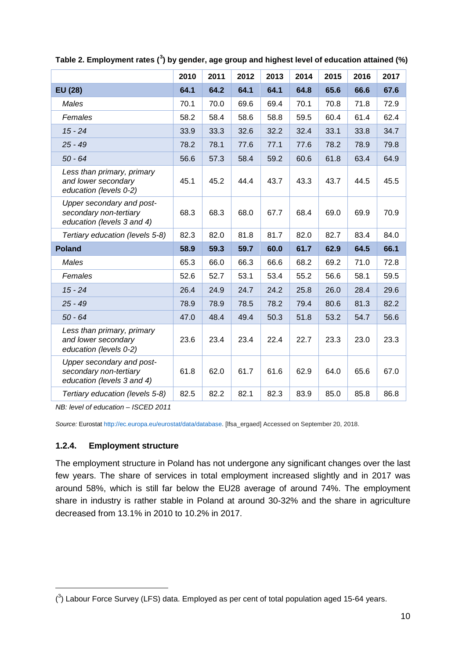|                                                                                   | 2010 | 2011 | 2012 | 2013 | 2014 | 2015 | 2016 | 2017 |
|-----------------------------------------------------------------------------------|------|------|------|------|------|------|------|------|
| EU (28)                                                                           | 64.1 | 64.2 | 64.1 | 64.1 | 64.8 | 65.6 | 66.6 | 67.6 |
| Males                                                                             | 70.1 | 70.0 | 69.6 | 69.4 | 70.1 | 70.8 | 71.8 | 72.9 |
| Females                                                                           | 58.2 | 58.4 | 58.6 | 58.8 | 59.5 | 60.4 | 61.4 | 62.4 |
| $15 - 24$                                                                         | 33.9 | 33.3 | 32.6 | 32.2 | 32.4 | 33.1 | 33.8 | 34.7 |
| $25 - 49$                                                                         | 78.2 | 78.1 | 77.6 | 77.1 | 77.6 | 78.2 | 78.9 | 79.8 |
| $50 - 64$                                                                         | 56.6 | 57.3 | 58.4 | 59.2 | 60.6 | 61.8 | 63.4 | 64.9 |
| Less than primary, primary<br>and lower secondary<br>education (levels 0-2)       | 45.1 | 45.2 | 44.4 | 43.7 | 43.3 | 43.7 | 44.5 | 45.5 |
| Upper secondary and post-<br>secondary non-tertiary<br>education (levels 3 and 4) | 68.3 | 68.3 | 68.0 | 67.7 | 68.4 | 69.0 | 69.9 | 70.9 |
| Tertiary education (levels 5-8)                                                   | 82.3 | 82.0 | 81.8 | 81.7 | 82.0 | 82.7 | 83.4 | 84.0 |
| <b>Poland</b>                                                                     | 58.9 | 59.3 | 59.7 | 60.0 | 61.7 | 62.9 | 64.5 | 66.1 |
| Males                                                                             | 65.3 | 66.0 | 66.3 | 66.6 | 68.2 | 69.2 | 71.0 | 72.8 |
| Females                                                                           | 52.6 | 52.7 | 53.1 | 53.4 | 55.2 | 56.6 | 58.1 | 59.5 |
| $15 - 24$                                                                         | 26.4 | 24.9 | 24.7 | 24.2 | 25.8 | 26.0 | 28.4 | 29.6 |
| $25 - 49$                                                                         | 78.9 | 78.9 | 78.5 | 78.2 | 79.4 | 80.6 | 81.3 | 82.2 |
| $50 - 64$                                                                         | 47.0 | 48.4 | 49.4 | 50.3 | 51.8 | 53.2 | 54.7 | 56.6 |
| Less than primary, primary<br>and lower secondary<br>education (levels 0-2)       | 23.6 | 23.4 | 23.4 | 22.4 | 22.7 | 23.3 | 23.0 | 23.3 |
| Upper secondary and post-<br>secondary non-tertiary<br>education (levels 3 and 4) | 61.8 | 62.0 | 61.7 | 61.6 | 62.9 | 64.0 | 65.6 | 67.0 |
| Tertiary education (levels 5-8)                                                   | 82.5 | 82.2 | 82.1 | 82.3 | 83.9 | 85.0 | 85.8 | 86.8 |

<span id="page-10-0"></span>**Table 2. Employment rates ([3](#page-10-1) ) by gender, age group and highest level of education attained (%)**

*NB: level of education – ISCED 2011*

*Source:* Eurosta[t http://ec.europa.eu/eurostat/data/database.](http://ec.europa.eu/eurostat/data/database) [lfsa\_ergaed] Accessed on September 20, 2018.

#### **1.2.4. Employment structure**

-

The employment structure in Poland has not undergone any significant changes over the last few years. The share of services in total employment increased slightly and in 2017 was around 58%, which is still far below the EU28 average of around 74%. The employment share in industry is rather stable in Poland at around 30-32% and the share in agriculture decreased from 13.1% in 2010 to 10.2% in 2017.

<span id="page-10-1"></span> $(3)$  Labour Force Survey (LFS) data. Employed as per cent of total population aged 15-64 years.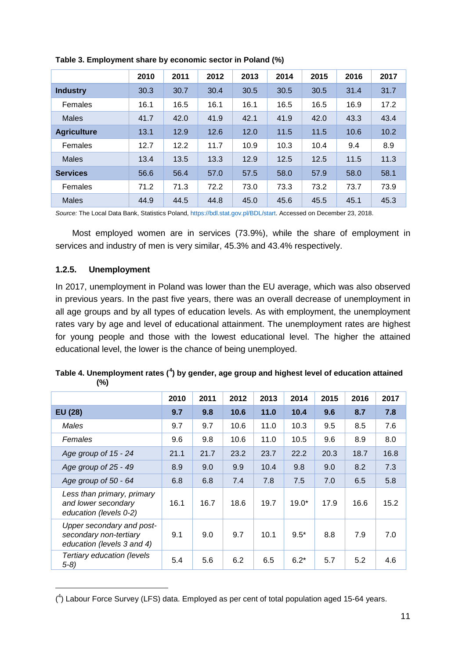|                    | 2010 | 2011 | 2012 | 2013 | 2014 | 2015 | 2016 | 2017 |
|--------------------|------|------|------|------|------|------|------|------|
| <b>Industry</b>    | 30.3 | 30.7 | 30.4 | 30.5 | 30.5 | 30.5 | 31.4 | 31.7 |
| Females            | 16.1 | 16.5 | 16.1 | 16.1 | 16.5 | 16.5 | 16.9 | 17.2 |
| <b>Males</b>       | 41.7 | 42.0 | 41.9 | 42.1 | 41.9 | 42.0 | 43.3 | 43.4 |
| <b>Agriculture</b> | 13.1 | 12.9 | 12.6 | 12.0 | 11.5 | 11.5 | 10.6 | 10.2 |
| Females            | 12.7 | 12.2 | 11.7 | 10.9 | 10.3 | 10.4 | 9.4  | 8.9  |
| <b>Males</b>       | 13.4 | 13.5 | 13.3 | 12.9 | 12.5 | 12.5 | 11.5 | 11.3 |
| <b>Services</b>    | 56.6 | 56.4 | 57.0 | 57.5 | 58.0 | 57.9 | 58.0 | 58.1 |
| Females            | 71.2 | 71.3 | 72.2 | 73.0 | 73.3 | 73.2 | 73.7 | 73.9 |
| <b>Males</b>       | 44.9 | 44.5 | 44.8 | 45.0 | 45.6 | 45.5 | 45.1 | 45.3 |

<span id="page-11-0"></span>**Table 3. Employment share by economic sector in Poland (%)**

*Source:* The Local Data Bank, Statistics Poland[, https://bdl.stat.gov.pl/BDL/start.](https://bdl.stat.gov.pl/BDL/start) Accessed on December 23, 2018.

Most employed women are in services (73.9%), while the share of employment in services and industry of men is very similar, 45.3% and 43.4% respectively.

#### **1.2.5. Unemployment**

-

In 2017, unemployment in Poland was lower than the EU average, which was also observed in previous years. In the past five years, there was an overall decrease of unemployment in all age groups and by all types of education levels. As with employment, the unemployment rates vary by age and level of educational attainment. The unemployment rates are highest for young people and those with the lowest educational level. The higher the attained educational level, the lower is the chance of being unemployed.

|                                                                                   | 2010 | 2011 | 2012 | 2013 | 2014    | 2015 | 2016 | 2017 |
|-----------------------------------------------------------------------------------|------|------|------|------|---------|------|------|------|
| EU (28)                                                                           | 9.7  | 9.8  | 10.6 | 11.0 | 10.4    | 9.6  | 8.7  | 7.8  |
| Males                                                                             | 9.7  | 9.7  | 10.6 | 11.0 | 10.3    | 9.5  | 8.5  | 7.6  |
| Females                                                                           | 9.6  | 9.8  | 10.6 | 11.0 | 10.5    | 9.6  | 8.9  | 8.0  |
| Age group of 15 - 24                                                              | 21.1 | 21.7 | 23.2 | 23.7 | 22.2    | 20.3 | 18.7 | 16.8 |
| Age group of 25 - 49                                                              | 8.9  | 9.0  | 9.9  | 10.4 | 9.8     | 9.0  | 8.2  | 7.3  |
| Age group of 50 - 64                                                              | 6.8  | 6.8  | 7.4  | 7.8  | 7.5     | 7.0  | 6.5  | 5.8  |
| Less than primary, primary<br>and lower secondary<br>education (levels 0-2)       | 16.1 | 16.7 | 18.6 | 19.7 | $19.0*$ | 17.9 | 16.6 | 15.2 |
| Upper secondary and post-<br>secondary non-tertiary<br>education (levels 3 and 4) | 9.1  | 9.0  | 9.7  | 10.1 | $9.5*$  | 8.8  | 7.9  | 7.0  |
| Tertiary education (levels<br>$5-8)$                                              | 5.4  | 5.6  | 6.2  | 6.5  | $6.2*$  | 5.7  | 5.2  | 4.6  |

<span id="page-11-1"></span>**Table 4. Unemployment rates ([4](#page-11-2) ) by gender, age group and highest level of education attained (%)**

<span id="page-11-2"></span><sup>(</sup> 4 ) Labour Force Survey (LFS) data. Employed as per cent of total population aged 15-64 years.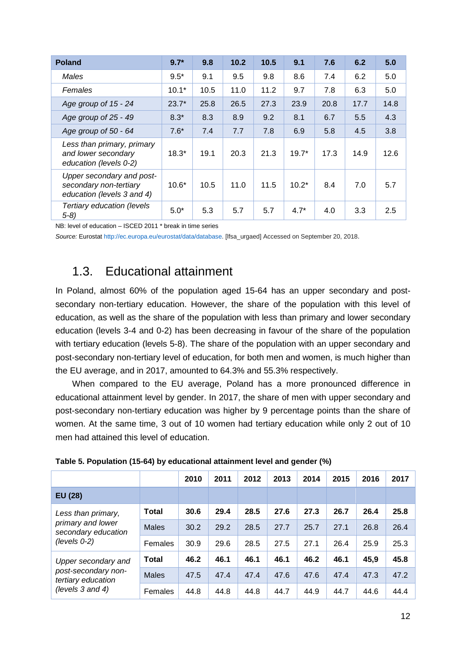| <b>Poland</b>                                                                     | $9.7*$  | 9.8  | 10.2 | 10.5 | 9.1     | 7.6  | 6.2  | 5.0  |
|-----------------------------------------------------------------------------------|---------|------|------|------|---------|------|------|------|
| Males                                                                             | $9.5*$  | 9.1  | 9.5  | 9.8  | 8.6     | 7.4  | 6.2  | 5.0  |
| Females                                                                           | $10.1*$ | 10.5 | 11.0 | 11.2 | 9.7     | 7.8  | 6.3  | 5.0  |
| Age group of 15 - 24                                                              | $23.7*$ | 25.8 | 26.5 | 27.3 | 23.9    | 20.8 | 17.7 | 14.8 |
| Age group of 25 - 49                                                              | $8.3*$  | 8.3  | 8.9  | 9.2  | 8.1     | 6.7  | 5.5  | 4.3  |
| Age group of 50 - 64                                                              | $7.6*$  | 7.4  | 7.7  | 7.8  | 6.9     | 5.8  | 4.5  | 3.8  |
| Less than primary, primary<br>and lower secondary<br>education (levels 0-2)       | $18.3*$ | 19.1 | 20.3 | 21.3 | $19.7*$ | 17.3 | 14.9 | 12.6 |
| Upper secondary and post-<br>secondary non-tertiary<br>education (levels 3 and 4) | $10.6*$ | 10.5 | 11.0 | 11.5 | $10.2*$ | 8.4  | 7.0  | 5.7  |
| Tertiary education (levels<br>$5-8$ )                                             | $5.0*$  | 5.3  | 5.7  | 5.7  | $4.7*$  | 4.0  | 3.3  | 2.5  |

NB: level of education – ISCED 2011 \* break in time series

<span id="page-12-0"></span>*Source:* Eurosta[t http://ec.europa.eu/eurostat/data/database.](http://ec.europa.eu/eurostat/data/database) [lfsa\_urgaed] Accessed on September 20, 2018.

## 1.3. Educational attainment

In Poland, almost 60% of the population aged 15-64 has an upper secondary and postsecondary non-tertiary education. However, the share of the population with this level of education, as well as the share of the population with less than primary and lower secondary education (levels 3-4 and 0-2) has been decreasing in favour of the share of the population with tertiary education (levels 5-8). The share of the population with an upper secondary and post-secondary non-tertiary level of education, for both men and women, is much higher than the EU average, and in 2017, amounted to 64.3% and 55.3% respectively.

When compared to the EU average, Poland has a more pronounced difference in educational attainment level by gender. In 2017, the share of men with upper secondary and post-secondary non-tertiary education was higher by 9 percentage points than the share of women. At the same time, 3 out of 10 women had tertiary education while only 2 out of 10 men had attained this level of education.

|                                                                |              | 2010 | 2011 | 2012 | 2013 | 2014 | 2015 | 2016 | 2017 |
|----------------------------------------------------------------|--------------|------|------|------|------|------|------|------|------|
| EU (28)                                                        |              |      |      |      |      |      |      |      |      |
| Less than primary,<br>primary and lower<br>secondary education | <b>Total</b> | 30.6 | 29.4 | 28.5 | 27.6 | 27.3 | 26.7 | 26.4 | 25.8 |
|                                                                | <b>Males</b> | 30.2 | 29.2 | 28.5 | 27.7 | 25.7 | 27.1 | 26.8 | 26.4 |
| $(levels 0-2)$                                                 | Females      | 30.9 | 29.6 | 28.5 | 27.5 | 27.1 | 26.4 | 25.9 | 25.3 |
| Upper secondary and                                            | <b>Total</b> | 46.2 | 46.1 | 46.1 | 46.1 | 46.2 | 46.1 | 45,9 | 45.8 |
| post-secondary non-<br>tertiary education<br>(levels 3 and 4)  | <b>Males</b> | 47.5 | 47.4 | 47.4 | 47.6 | 47.6 | 47.4 | 47.3 | 47.2 |
|                                                                | Females      | 44.8 | 44.8 | 44.8 | 44.7 | 44.9 | 44.7 | 44.6 | 44.4 |

<span id="page-12-1"></span>

|  |  | Table 5. Population (15-64) by educational attainment level and gender (%) |  |  |  |
|--|--|----------------------------------------------------------------------------|--|--|--|
|--|--|----------------------------------------------------------------------------|--|--|--|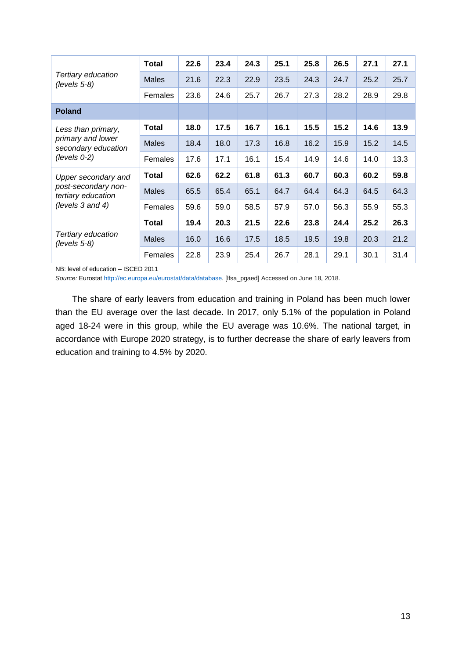|                                           | <b>Total</b> | 22.6 | 23.4 | 24.3 | 25.1 | 25.8 | 26.5 | 27.1 | 27.1 |
|-------------------------------------------|--------------|------|------|------|------|------|------|------|------|
| Tertiary education<br>$(levels 5-8)$      | <b>Males</b> | 21.6 | 22.3 | 22.9 | 23.5 | 24.3 | 24.7 | 25.2 | 25.7 |
|                                           | Females      | 23.6 | 24.6 | 25.7 | 26.7 | 27.3 | 28.2 | 28.9 | 29.8 |
| <b>Poland</b>                             |              |      |      |      |      |      |      |      |      |
| Less than primary,                        | <b>Total</b> | 18.0 | 17.5 | 16.7 | 16.1 | 15.5 | 15.2 | 14.6 | 13.9 |
| primary and lower<br>secondary education  | <b>Males</b> | 18.4 | 18.0 | 17.3 | 16.8 | 16.2 | 15.9 | 15.2 | 14.5 |
| $(levels 0-2)$                            | Females      | 17.6 | 17.1 | 16.1 | 15.4 | 14.9 | 14.6 | 14.0 | 13.3 |
| Upper secondary and                       | <b>Total</b> | 62.6 | 62.2 | 61.8 | 61.3 | 60.7 | 60.3 | 60.2 | 59.8 |
| post-secondary non-<br>tertiary education | <b>Males</b> | 65.5 | 65.4 | 65.1 | 64.7 | 64.4 | 64.3 | 64.5 | 64.3 |
| (levels 3 and 4)                          | Females      | 59.6 | 59.0 | 58.5 | 57.9 | 57.0 | 56.3 | 55.9 | 55.3 |
|                                           | <b>Total</b> | 19.4 | 20.3 | 21.5 | 22.6 | 23.8 | 24.4 | 25.2 | 26.3 |
| Tertiary education<br>$(levels 5-8)$      | <b>Males</b> | 16.0 | 16.6 | 17.5 | 18.5 | 19.5 | 19.8 | 20.3 | 21.2 |
|                                           | Females      | 22.8 | 23.9 | 25.4 | 26.7 | 28.1 | 29.1 | 30.1 | 31.4 |

NB: level of education – ISCED 2011

*Source:* Eurosta[t http://ec.europa.eu/eurostat/data/database.](http://ec.europa.eu/eurostat/data/database) [lfsa\_pgaed] Accessed on June 18, 2018.

The share of early leavers from education and training in Poland has been much lower than the EU average over the last decade. In 2017, only 5.1% of the population in Poland aged 18-24 were in this group, while the EU average was 10.6%. The national target, in accordance with Europe 2020 strategy, is to further decrease the share of early leavers from education and training to 4.5% by 2020.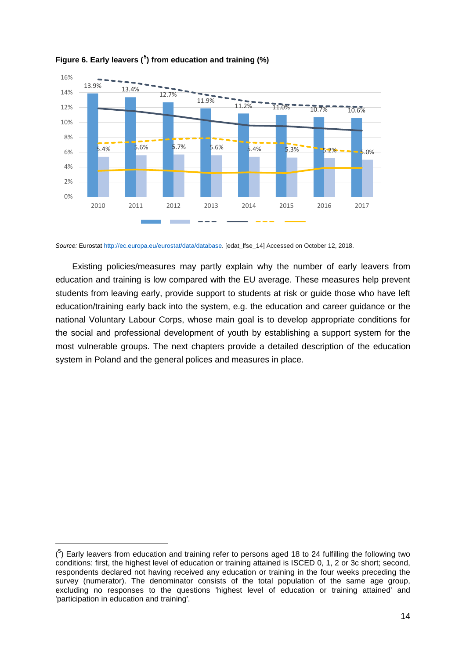

#### <span id="page-14-0"></span>**Figure 6. Early leavers ([5](#page-14-1) ) from education and training (%)**

*Source:* Eurosta[t http://ec.europa.eu/eurostat/data/database.](http://ec.europa.eu/eurostat/data/database) [edat\_lfse\_14] Accessed on October 12, 2018.

Existing policies/measures may partly explain why the number of early leavers from education and training is low compared with the EU average. These measures help prevent students from leaving early, provide support to students at risk or guide those who have left education/training early back into the system, e.g. the education and career guidance or the national Voluntary Labour Corps, whose main goal is to develop appropriate conditions for the social and professional development of youth by establishing a support system for the most vulnerable groups. The next chapters provide a detailed description of the education system in Poland and the general polices and measures in place.

-

<span id="page-14-1"></span> $(5)$  Early leavers from education and training refer to persons aged 18 to 24 fulfilling the following two conditions: first, the highest level of education or training attained is ISCED 0, 1, 2 or 3c short; second, respondents declared not having received any education or training in the four weeks preceding the survey (numerator). The denominator consists of the total population of the same age group, excluding no responses to the questions 'highest level of education or training attained' and 'participation in education and training'.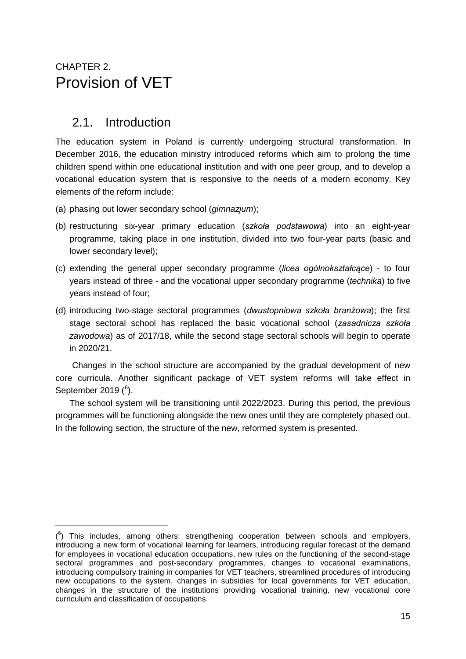## <span id="page-15-0"></span>CHAPTER 2. Provision of VET

## <span id="page-15-1"></span>2.1. Introduction

-

The education system in Poland is currently undergoing structural transformation. In December 2016, the education ministry introduced reforms which aim to prolong the time children spend within one educational institution and with one peer group, and to develop a vocational education system that is responsive to the needs of a modern economy. Key elements of the reform include:

- (a) phasing out lower secondary school (*gimnazjum*);
- (b) restructuring six-year primary education (*szkoła podstawowa*) into an eight-year programme, taking place in one institution, divided into two four-year parts (basic and lower secondary level);
- (c) extending the general upper secondary programme (*licea ogólnokształcące*) to four years instead of three - and the vocational upper secondary programme (*technika*) to five years instead of four;
- (d) introducing two-stage sectoral programmes (*dwustopniowa szkoła branżowa*); the first stage sectoral school has replaced the basic vocational school (*zasadnicza szkoła zawodowa*) as of 2017/18, while the second stage sectoral schools will begin to operate in 2020/21.

Changes in the school structure are accompanied by the gradual development of new core curricula. Another significant package of VET system reforms will take effect in September 2019 (<sup>[6](#page-15-2)</sup>).

The school system will be transitioning until 2022/2023. During this period, the previous programmes will be functioning alongside the new ones until they are completely phased out. In the following section, the structure of the new, reformed system is presented.

<span id="page-15-2"></span> $(6)$  This includes, among others: strengthening cooperation between schools and employers, introducing a new form of vocational learning for learners, introducing regular forecast of the demand for employees in vocational education occupations, new rules on the functioning of the second-stage sectoral programmes and post-secondary programmes, changes to vocational examinations, introducing compulsory training in companies for VET teachers, streamlined procedures of introducing new occupations to the system, changes in subsidies for local governments for VET education, changes in the structure of the institutions providing vocational training, new vocational core curriculum and classification of occupations.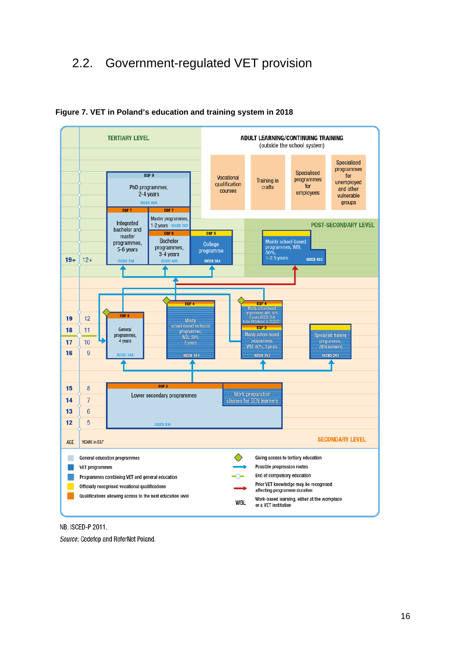## <span id="page-16-1"></span><span id="page-16-0"></span>2.2. Government-regulated VET provision



#### **Figure 7. VET in Poland's education and training system in 2018**

NB: ISCED-P 2011.

Source: Cedefop and ReferNet Poland.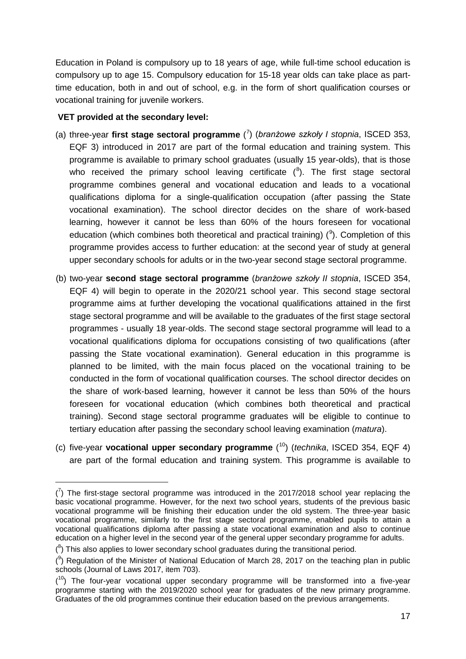Education in Poland is compulsory up to 18 years of age, while full-time school education is compulsory up to age 15. Compulsory education for 15-18 year olds can take place as parttime education, both in and out of school, e.g. in the form of short qualification courses or vocational training for juvenile workers.

#### **VET provided at the secondary level:**

-

- (a) three-year **first stage sectoral programme** ( [7](#page-17-0) ) (*branżowe szkoły I stopnia*, ISCED 353, EQF 3) introduced in 2017 are part of the formal education and training system. This programme is available to primary school graduates (usually 15 year-olds), that is those who received the primary school leaving certificate  $(^8)$  $(^8)$  $(^8)$ . The first stage sectoral programme combines general and vocational education and leads to a vocational qualifications diploma for a single-qualification occupation (after passing the State vocational examination). The school director decides on the share of work-based learning, however it cannot be less than 60% of the hours foreseen for vocational education (which combines both theoretical and practical training)  $(9)$  $(9)$  $(9)$ . Completion of this programme provides access to further education: at the second year of study at general upper secondary schools for adults or in the two-year second stage sectoral programme.
- (b) two-year **second stage sectoral programme** (*branżowe szkoły II stopnia*, ISCED 354, EQF 4) will begin to operate in the 2020/21 school year. This second stage sectoral programme aims at further developing the vocational qualifications attained in the first stage sectoral programme and will be available to the graduates of the first stage sectoral programmes - usually 18 year-olds. The second stage sectoral programme will lead to a vocational qualifications diploma for occupations consisting of two qualifications (after passing the State vocational examination). General education in this programme is planned to be limited, with the main focus placed on the vocational training to be conducted in the form of vocational qualification courses. The school director decides on the share of work-based learning, however it cannot be less than 50% of the hours foreseen for vocational education (which combines both theoretical and practical training). Second stage sectoral programme graduates will be eligible to continue to tertiary education after passing the secondary school leaving examination (*matura*).
- (c) five-year **vocational upper secondary programme** ( [10](#page-17-3)) (*technika*, ISCED 354, EQF 4) are part of the formal education and training system. This programme is available to

<span id="page-17-0"></span> $\binom{7}{1}$  The first-stage sectoral programme was introduced in the 2017/2018 school year replacing the basic vocational programme. However, for the next two school years, students of the previous basic vocational programme will be finishing their education under the old system. The three-year basic vocational programme, similarly to the first stage sectoral programme, enabled pupils to attain a vocational qualifications diploma after passing a state vocational examination and also to continue education on a higher level in the second year of the general upper secondary programme for adults.

<span id="page-17-1"></span> $(8)$  This also applies to lower secondary school graduates during the transitional period.

<span id="page-17-2"></span> $(3)$  Regulation of the Minister of National Education of March 28, 2017 on the teaching plan in public schools (Journal of Laws 2017, item 703).

<span id="page-17-3"></span> $(10)$  The four-year vocational upper secondary programme will be transformed into a five-year programme starting with the 2019/2020 school year for graduates of the new primary programme. Graduates of the old programmes continue their education based on the previous arrangements.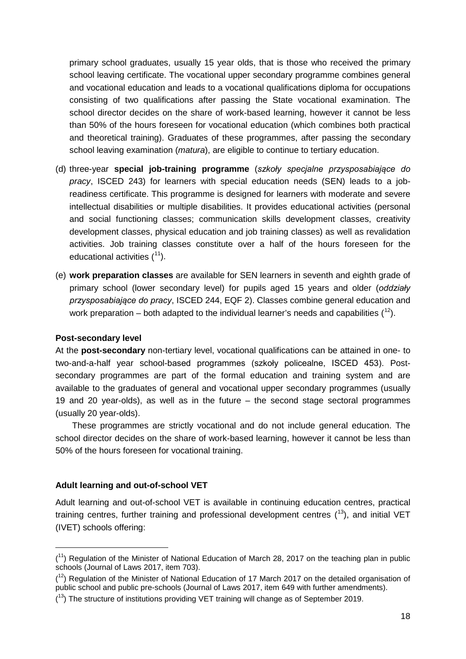primary school graduates, usually 15 year olds, that is those who received the primary school leaving certificate. The vocational upper secondary programme combines general and vocational education and leads to a vocational qualifications diploma for occupations consisting of two qualifications after passing the State vocational examination. The school director decides on the share of work-based learning, however it cannot be less than 50% of the hours foreseen for vocational education (which combines both practical and theoretical training). Graduates of these programmes, after passing the secondary school leaving examination (*matura*), are eligible to continue to tertiary education.

- (d) three-year **special job-training programme** (*szkoły specjalne przysposabiające do pracy*, ISCED 243) for learners with special education needs (SEN) leads to a jobreadiness certificate. This programme is designed for learners with moderate and severe intellectual disabilities or multiple disabilities. It provides educational activities (personal and social functioning classes; communication skills development classes, creativity development classes, physical education and job training classes) as well as revalidation activities. Job training classes constitute over a half of the hours foreseen for the educational activities  $(1)$ .
- (e) **work preparation classes** are available for SEN learners in seventh and eighth grade of primary school (lower secondary level) for pupils aged 15 years and older (*oddziały przysposabiające do pracy*, ISCED 244, EQF 2). Classes combine general education and work preparation – both adapted to the individual learner's needs and capabilities  $(^{12})$ .

#### **Post-secondary level**

-

At the **post-secondary** non-tertiary level, vocational qualifications can be attained in one- to two-and-a-half year school-based programmes (szkoły policealne, ISCED 453). Postsecondary programmes are part of the formal education and training system and are available to the graduates of general and vocational upper secondary programmes (usually 19 and 20 year-olds), as well as in the future – the second stage sectoral programmes (usually 20 year-olds).

These programmes are strictly vocational and do not include general education. The school director decides on the share of work-based learning, however it cannot be less than 50% of the hours foreseen for vocational training.

#### **Adult learning and out-of-school VET**

Adult learning and out-of-school VET is available in continuing education centres, practical training centres, further training and professional development centres  $(^{13})$  $(^{13})$  $(^{13})$ , and initial VET (IVET) schools offering:

<span id="page-18-0"></span><sup>(&</sup>lt;sup>11</sup>) Regulation of the Minister of National Education of March 28, 2017 on the teaching plan in public schools (Journal of Laws 2017, item 703).

<span id="page-18-1"></span> $(1<sup>2</sup>)$  Regulation of the Minister of National Education of 17 March 2017 on the detailed organisation of public school and public pre-schools (Journal of Laws 2017, item 649 with further amendments).

<span id="page-18-2"></span> $(13)$  The structure of institutions providing VET training will change as of September 2019.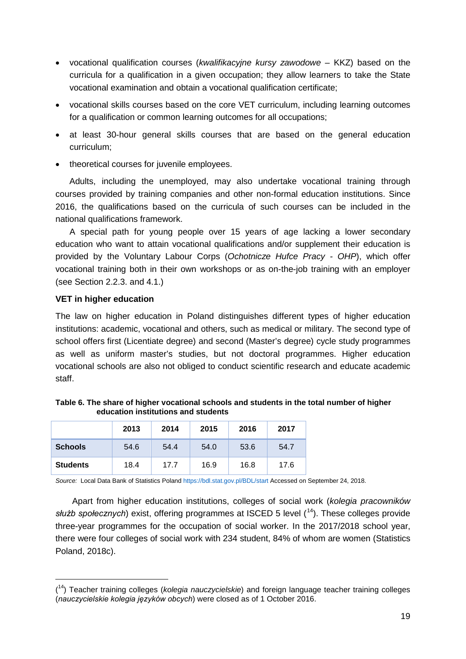- vocational qualification courses (*kwalifikacyjne kursy zawodowe* KKZ) based on the curricula for a qualification in a given occupation; they allow learners to take the State vocational examination and obtain a vocational qualification certificate;
- vocational skills courses based on the core VET curriculum, including learning outcomes for a qualification or common learning outcomes for all occupations;
- at least 30-hour general skills courses that are based on the general education curriculum;
- theoretical courses for juvenile employees.

Adults, including the unemployed, may also undertake vocational training through courses provided by training companies and other non-formal education institutions. Since 2016, the qualifications based on the curricula of such courses can be included in the national qualifications framework.

A special path for young people over 15 years of age lacking a lower secondary education who want to attain vocational qualifications and/or supplement their education is provided by the Voluntary Labour Corps (*Ochotnicze Hufce Pracy - OHP*), which offer vocational training both in their own workshops or as on-the-job training with an employer (see Section 2.2.3. and 4.1.)

#### **VET in higher education**

-

The law on higher education in Poland distinguishes different types of higher education institutions: academic, vocational and others, such as medical or military. The second type of school offers first (Licentiate degree) and second (Master's degree) cycle study programmes as well as uniform master's studies, but not doctoral programmes. Higher education vocational schools are also not obliged to conduct scientific research and educate academic staff.

|                 | 2013 | 2014 | 2015 | 2016 | 2017 |
|-----------------|------|------|------|------|------|
| <b>Schools</b>  | 54.6 | 54.4 | 54.0 | 53.6 | 54.7 |
| <b>Students</b> | 18.4 | 17.7 | 16.9 | 16.8 | 17.6 |

<span id="page-19-0"></span>**Table 6. The share of higher vocational schools and students in the total number of higher education institutions and students**

*Source:* Local Data Bank of Statistics Poland<https://bdl.stat.gov.pl/BDL/start> Accessed on September 24, 2018.

Apart from higher education institutions, colleges of social work (*kolegia pracowników służb społecznych*) exist, offering programmes at ISCED 5 level (<sup>[14](#page-19-1)</sup>). These colleges provide three-year programmes for the occupation of social worker. In the 2017/2018 school year, there were four colleges of social work with 234 student, 84% of whom are women (Statistics Poland, 2018c).

<span id="page-19-1"></span><sup>(</sup> 14) Teacher training colleges (*kolegia nauczycielskie*) and foreign language teacher training colleges (*nauczycielskie kolegia języków obcych*) were closed as of 1 October 2016.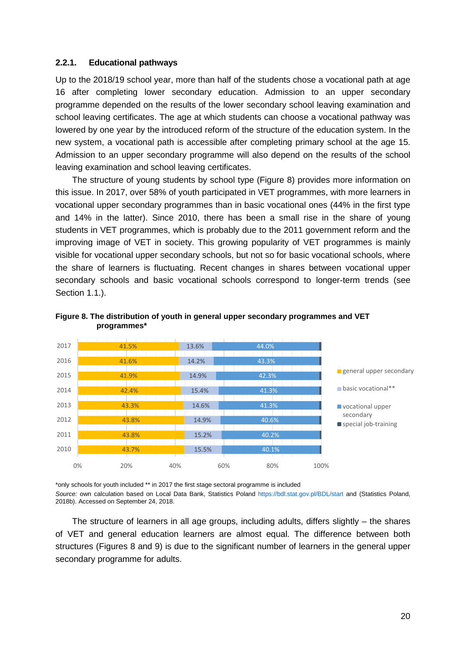#### **2.2.1. Educational pathways**

Up to the 2018/19 school year, more than half of the students chose a vocational path at age 16 after completing lower secondary education. Admission to an upper secondary programme depended on the results of the lower secondary school leaving examination and school leaving certificates. The age at which students can choose a vocational pathway was lowered by one year by the introduced reform of the structure of the education system. In the new system, a vocational path is accessible after completing primary school at the age 15. Admission to an upper secondary programme will also depend on the results of the school leaving examination and school leaving certificates.

The structure of young students by school type (Figure 8) provides more information on this issue. In 2017, over 58% of youth participated in VET programmes, with more learners in vocational upper secondary programmes than in basic vocational ones (44% in the first type and 14% in the latter). Since 2010, there has been a small rise in the share of young students in VET programmes, which is probably due to the 2011 government reform and the improving image of VET in society. This growing popularity of VET programmes is mainly visible for vocational upper secondary schools, but not so for basic vocational schools, where the share of learners is fluctuating. Recent changes in shares between vocational upper secondary schools and basic vocational schools correspond to longer-term trends (see Section 1.1.).



<span id="page-20-0"></span>**Figure 8. The distribution of youth in general upper secondary programmes and VET programmes\***

\*only schools for youth included \*\* in 2017 the first stage sectoral programme is included *Source:* own calculation based on Local Data Bank, Statistics Poland<https://bdl.stat.gov.pl/BDL/start> and (Statistics Poland, 2018b). Accessed on September 24, 2018.

The structure of learners in all age groups, including adults, differs slightly – the shares of VET and general education learners are almost equal. The difference between both structures (Figures 8 and 9) is due to the significant number of learners in the general upper secondary programme for adults.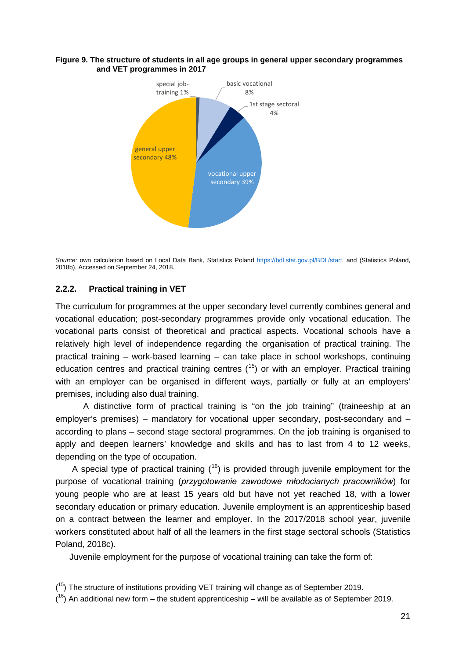#### <span id="page-21-0"></span>**Figure 9. The structure of students in all age groups in general upper secondary programmes and VET programmes in 2017**



*Source:* own calculation based on Local Data Bank, Statistics Poland [https://bdl.stat.gov.pl/BDL/start.](https://bdl.stat.gov.pl/BDL/start) and (Statistics Poland, 2018b). Accessed on September 24, 2018.

#### **2.2.2. Practical training in VET**

-

The curriculum for programmes at the upper secondary level currently combines general and vocational education; post-secondary programmes provide only vocational education. The vocational parts consist of theoretical and practical aspects. Vocational schools have a relatively high level of independence regarding the organisation of practical training. The practical training – work-based learning – can take place in school workshops, continuing education centres and practical training centres  $(^{15})$  $(^{15})$  $(^{15})$  or with an employer. Practical training with an employer can be organised in different ways, partially or fully at an employers' premises, including also dual training.

A distinctive form of practical training is "on the job training" (traineeship at an employer's premises) – mandatory for vocational upper secondary, post-secondary and – according to plans – second stage sectoral programmes. On the job training is organised to apply and deepen learners' knowledge and skills and has to last from 4 to 12 weeks, depending on the type of occupation.

A special type of practical training  $(16)$  $(16)$  $(16)$  is provided through juvenile employment for the purpose of vocational training (*przygotowanie zawodowe młodocianych pracowników*) for young people who are at least 15 years old but have not yet reached 18, with a lower secondary education or primary education. Juvenile employment is an apprenticeship based on a contract between the learner and employer. In the 2017/2018 school year, juvenile workers constituted about half of all the learners in the first stage sectoral schools (Statistics Poland, 2018c).

Juvenile employment for the purpose of vocational training can take the form of:

<span id="page-21-1"></span><sup>(&</sup>lt;sup>15</sup>) The structure of institutions providing VET training will change as of September 2019.

<span id="page-21-2"></span> $(16)$  An additional new form – the student apprenticeship – will be available as of September 2019.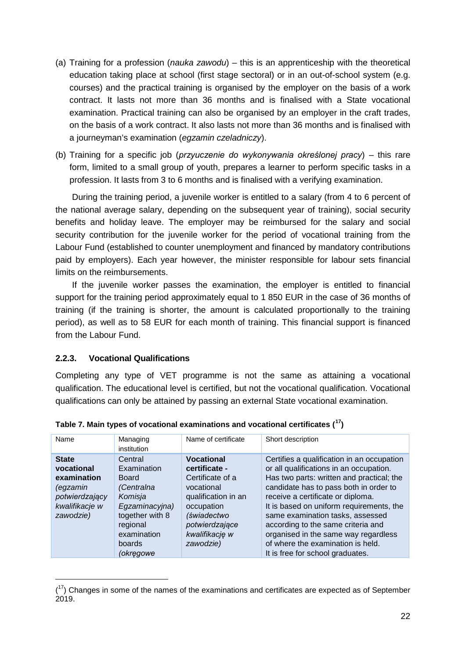- (a) Training for a profession (*nauka zawodu*) this is an apprenticeship with the theoretical education taking place at school (first stage sectoral) or in an out-of-school system (e.g. courses) and the practical training is organised by the employer on the basis of a work contract. It lasts not more than 36 months and is finalised with a State vocational examination. Practical training can also be organised by an employer in the craft trades, on the basis of a work contract. It also lasts not more than 36 months and is finalised with a journeyman's examination (*egzamin czeladniczy*).
- (b) Training for a specific job (*przyuczenie do wykonywania określonej pracy*) this rare form, limited to a small group of youth, prepares a learner to perform specific tasks in a profession. It lasts from 3 to 6 months and is finalised with a verifying examination.

During the training period, a juvenile worker is entitled to a salary (from 4 to 6 percent of the national average salary, depending on the subsequent year of training), social security benefits and holiday leave. The employer may be reimbursed for the salary and social security contribution for the juvenile worker for the period of vocational training from the Labour Fund (established to counter unemployment and financed by mandatory contributions paid by employers). Each year however, the minister responsible for labour sets financial limits on the reimbursements.

If the juvenile worker passes the examination, the employer is entitled to financial support for the training period approximately equal to 1 850 EUR in the case of 36 months of training (if the training is shorter, the amount is calculated proportionally to the training period), as well as to 58 EUR for each month of training. This financial support is financed from the Labour Fund.

#### **2.2.3. Vocational Qualifications**

-

Completing any type of VET programme is not the same as attaining a vocational qualification. The educational level is certified, but not the vocational qualification. Vocational qualifications can only be attained by passing an external State vocational examination.

| Name                                                                                                   | Managing<br>institution                                                                                                                                | Name of certificate                                                                                                                                                       | Short description                                                                                                                                                                                                                                                                                                                                                                                                                                        |
|--------------------------------------------------------------------------------------------------------|--------------------------------------------------------------------------------------------------------------------------------------------------------|---------------------------------------------------------------------------------------------------------------------------------------------------------------------------|----------------------------------------------------------------------------------------------------------------------------------------------------------------------------------------------------------------------------------------------------------------------------------------------------------------------------------------------------------------------------------------------------------------------------------------------------------|
| <b>State</b><br>vocational<br>examination<br>(egzamin<br>potwierdzający<br>kwalifikacje w<br>zawodzie) | Central<br>Examination<br><b>Board</b><br>(Centralna<br>Komisja<br>Egzaminacyjna)<br>together with 8<br>regional<br>examination<br>boards<br>(okręgowe | <b>Vocational</b><br>certificate -<br>Certificate of a<br>vocational<br>qualification in an<br>occupation<br>(świadectwo<br>potwierdzające<br>kwalifikację w<br>zawodzie) | Certifies a qualification in an occupation<br>or all qualifications in an occupation.<br>Has two parts: written and practical; the<br>candidate has to pass both in order to<br>receive a certificate or diploma.<br>It is based on uniform requirements, the<br>same examination tasks, assessed<br>according to the same criteria and<br>organised in the same way regardless<br>of where the examination is held.<br>It is free for school graduates. |

<span id="page-22-0"></span>**Table 7. Main types of vocational examinations and vocational certificates ( [17\)](#page-22-1)**

<span id="page-22-1"></span> $(17)$  Changes in some of the names of the examinations and certificates are expected as of September 2019.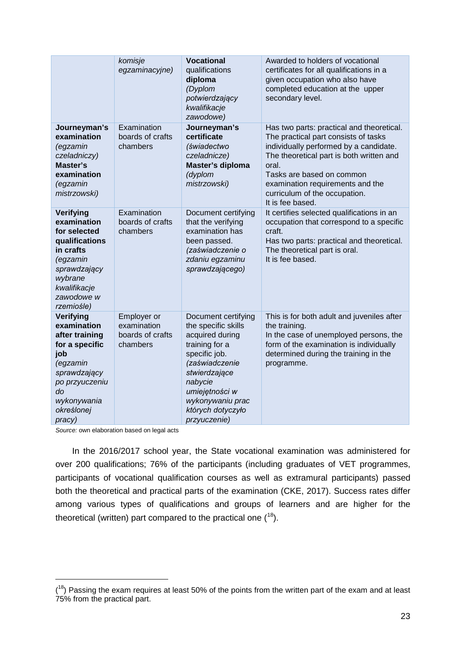|                                                                                                                                                                | komisje<br>egzaminacyjne)                                  | <b>Vocational</b><br>qualifications<br>diploma<br>(Dyplom<br>potwierdzający<br>kwalifikacje<br>zawodowe)                                                                                                                  | Awarded to holders of vocational<br>certificates for all qualifications in a<br>given occupation who also have<br>completed education at the upper<br>secondary level.                                                                                                                                 |
|----------------------------------------------------------------------------------------------------------------------------------------------------------------|------------------------------------------------------------|---------------------------------------------------------------------------------------------------------------------------------------------------------------------------------------------------------------------------|--------------------------------------------------------------------------------------------------------------------------------------------------------------------------------------------------------------------------------------------------------------------------------------------------------|
| Journeyman's<br>examination<br>(egzamin<br>czeladniczy)<br><b>Master's</b><br>examination<br>(egzamin<br>mistrzowski)                                          | Examination<br>boards of crafts<br>chambers                | Journeyman's<br>certificate<br>(świadectwo<br>czeladnicze)<br>Master's diploma<br>(dyplom<br>mistrzowski)                                                                                                                 | Has two parts: practical and theoretical.<br>The practical part consists of tasks<br>individually performed by a candidate.<br>The theoretical part is both written and<br>oral.<br>Tasks are based on common<br>examination requirements and the<br>curriculum of the occupation.<br>It is fee based. |
| Verifying<br>examination<br>for selected<br>qualifications<br>in crafts<br>(egzamin<br>sprawdzający<br>wybrane<br>kwalifikacje<br>zawodowe w<br>rzemiośle)     | Examination<br>boards of crafts<br>chambers                | Document certifying<br>that the verifying<br>examination has<br>been passed.<br>(zaświadczenie o<br>zdaniu egzaminu<br>sprawdzającego)                                                                                    | It certifies selected qualifications in an<br>occupation that correspond to a specific<br>craft.<br>Has two parts: practical and theoretical.<br>The theoretical part is oral.<br>It is fee based.                                                                                                     |
| Verifying<br>examination<br>after training<br>for a specific<br>job<br>(egzamin<br>sprawdzający<br>po przyuczeniu<br>do<br>wykonywania<br>określonej<br>pracy) | Employer or<br>examination<br>boards of crafts<br>chambers | Document certifying<br>the specific skills<br>acquired during<br>training for a<br>specific job.<br>(zaświadczenie<br>stwierdzające<br>nabycie<br>umiejętności w<br>wykonywaniu prac<br>których dotyczyło<br>przyuczenie) | This is for both adult and juveniles after<br>the training.<br>In the case of unemployed persons, the<br>form of the examination is individually<br>determined during the training in the<br>programme.                                                                                                |

*Source:* own elaboration based on legal acts

-

In the 2016/2017 school year, the State vocational examination was administered for over 200 qualifications; 76% of the participants (including graduates of VET programmes, participants of vocational qualification courses as well as extramural participants) passed both the theoretical and practical parts of the examination (CKE, 2017). Success rates differ among various types of qualifications and groups of learners and are higher for the theoretical (written) part compared to the practical one  $(^{18})$  $(^{18})$  $(^{18})$ .

<span id="page-23-0"></span> $(18)$  Passing the exam requires at least 50% of the points from the written part of the exam and at least 75% from the practical part.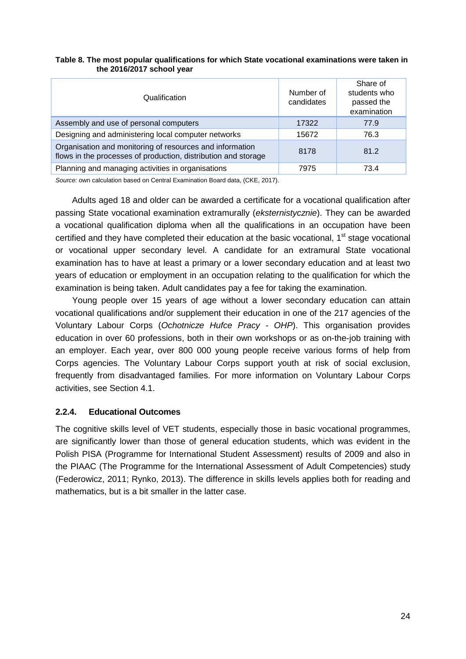| Qualification                                                                                                              | Number of<br>candidates | Share of<br>students who<br>passed the<br>examination |
|----------------------------------------------------------------------------------------------------------------------------|-------------------------|-------------------------------------------------------|
| Assembly and use of personal computers                                                                                     | 17322                   | 77.9                                                  |
| Designing and administering local computer networks                                                                        | 15672                   | 76.3                                                  |
| Organisation and monitoring of resources and information<br>flows in the processes of production, distribution and storage | 8178                    | 81.2                                                  |
| Planning and managing activities in organisations                                                                          | 7975                    | 73.4                                                  |

#### <span id="page-24-0"></span>**Table 8. The most popular qualifications for which State vocational examinations were taken in the 2016/2017 school year**

*Source:* own calculation based on Central Examination Board data, (CKE, 2017).

Adults aged 18 and older can be awarded a certificate for a vocational qualification after passing State vocational examination extramurally (*eksternistycznie*). They can be awarded a vocational qualification diploma when all the qualifications in an occupation have been certified and they have completed their education at the basic vocational, 1<sup>st</sup> stage vocational or vocational upper secondary level. A candidate for an extramural State vocational examination has to have at least a primary or a lower secondary education and at least two years of education or employment in an occupation relating to the qualification for which the examination is being taken. Adult candidates pay a fee for taking the examination.

Young people over 15 years of age without a lower secondary education can attain vocational qualifications and/or supplement their education in one of the 217 agencies of the Voluntary Labour Corps (*Ochotnicze Hufce Pracy - OHP*). This organisation provides education in over 60 professions, both in their own workshops or as on-the-job training with an employer. Each year, over 800 000 young people receive various forms of help from Corps agencies. The Voluntary Labour Corps support youth at risk of social exclusion, frequently from disadvantaged families. For more information on Voluntary Labour Corps activities, see Section 4.1.

#### **2.2.4. Educational Outcomes**

The cognitive skills level of VET students, especially those in basic vocational programmes, are significantly lower than those of general education students, which was evident in the Polish PISA (Programme for International Student Assessment) results of 2009 and also in the PIAAC (The Programme for the International Assessment of Adult Competencies) study (Federowicz, 2011; Rynko, 2013). The difference in skills levels applies both for reading and mathematics, but is a bit smaller in the latter case.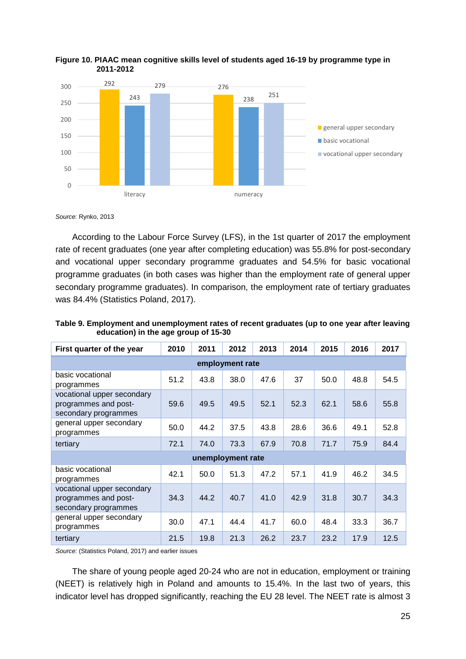

<span id="page-25-1"></span>

*Source:* Rynko, 2013

According to the Labour Force Survey (LFS), in the 1st quarter of 2017 the employment rate of recent graduates (one year after completing education) was 55.8% for post-secondary and vocational upper secondary programme graduates and 54.5% for basic vocational programme graduates (in both cases was higher than the employment rate of general upper secondary programme graduates). In comparison, the employment rate of tertiary graduates was 84.4% (Statistics Poland, 2017).

| First quarter of the year                                                  | 2010 | 2011              | 2012 | 2013 | 2014 | 2015 | 2016 | 2017 |
|----------------------------------------------------------------------------|------|-------------------|------|------|------|------|------|------|
| employment rate                                                            |      |                   |      |      |      |      |      |      |
| basic vocational<br>programmes                                             | 51.2 | 43.8              | 38.0 | 47.6 | 37   | 50.0 | 48.8 | 54.5 |
| vocational upper secondary<br>programmes and post-<br>secondary programmes | 59.6 | 49.5              | 49.5 | 52.1 | 52.3 | 62.1 | 58.6 | 55.8 |
| general upper secondary<br>programmes                                      | 50.0 | 44.2              | 37.5 | 43.8 | 28.6 | 36.6 | 49.1 | 52.8 |
| tertiary                                                                   | 72.1 | 74.0              | 73.3 | 67.9 | 70.8 | 71.7 | 75.9 | 84.4 |
|                                                                            |      | unemployment rate |      |      |      |      |      |      |
| basic vocational<br>programmes                                             | 42.1 | 50.0              | 51.3 | 47.2 | 57.1 | 41.9 | 46.2 | 34.5 |
| vocational upper secondary<br>programmes and post-<br>secondary programmes | 34.3 | 44.2              | 40.7 | 41.0 | 42.9 | 31.8 | 30.7 | 34.3 |
| general upper secondary<br>programmes                                      | 30.0 | 47.1              | 44.4 | 41.7 | 60.0 | 48.4 | 33.3 | 36.7 |
| tertiary                                                                   | 21.5 | 19.8              | 21.3 | 26.2 | 23.7 | 23.2 | 17.9 | 12.5 |

<span id="page-25-0"></span>**Table 9. Employment and unemployment rates of recent graduates (up to one year after leaving education) in the age group of 15-30**

*Source:* (Statistics Poland, 2017) and earlier issues

The share of young people aged 20-24 who are not in education, employment or training (NEET) is relatively high in Poland and amounts to 15.4%. In the last two of years, this indicator level has dropped significantly, reaching the EU 28 level. The NEET rate is almost 3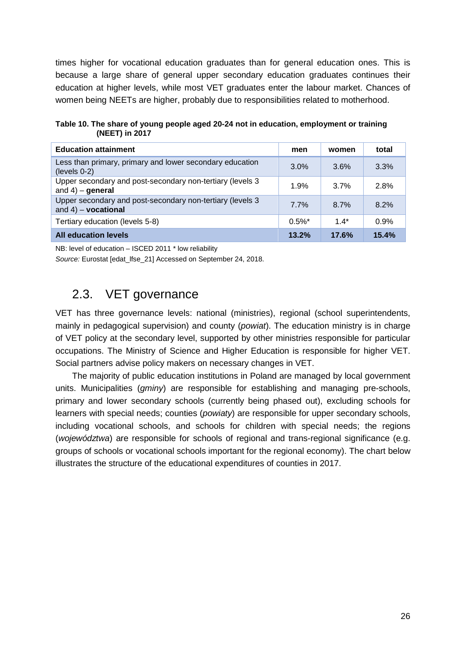times higher for vocational education graduates than for general education ones. This is because a large share of general upper secondary education graduates continues their education at higher levels, while most VET graduates enter the labour market. Chances of women being NEETs are higher, probably due to responsibilities related to motherhood.

<span id="page-26-1"></span>**Table 10. The share of young people aged 20-24 not in education, employment or training (NEET) in 2017**

| <b>Education attainment</b>                                                         | men       | women | total |
|-------------------------------------------------------------------------------------|-----------|-------|-------|
| Less than primary, primary and lower secondary education<br>$(levels 0-2)$          | 3.0%      | 3.6%  | 3.3%  |
| Upper secondary and post-secondary non-tertiary (levels 3<br>and $4$ ) – general    | 1.9%      | 3.7%  | 2.8%  |
| Upper secondary and post-secondary non-tertiary (levels 3<br>and $4$ ) – vocational | 7.7%      | 8.7%  | 8.2%  |
| Tertiary education (levels 5-8)                                                     | $0.5\%$ * | $14*$ | 0.9%  |
| <b>All education levels</b>                                                         | 13.2%     | 17.6% | 15.4% |

NB: level of education – ISCED 2011 \* low reliability

<span id="page-26-0"></span>*Source:* Eurostat [edat\_lfse\_21] Accessed on September 24, 2018.

### 2.3. VET governance

VET has three governance levels: national (ministries), regional (school superintendents, mainly in pedagogical supervision) and county (*powiat*). The education ministry is in charge of VET policy at the secondary level, supported by other ministries responsible for particular occupations. The Ministry of Science and Higher Education is responsible for higher VET. Social partners advise policy makers on necessary changes in VET.

The majority of public education institutions in Poland are managed by local government units. Municipalities (*gminy*) are responsible for establishing and managing pre-schools, primary and lower secondary schools (currently being phased out), excluding schools for learners with special needs; counties (*powiaty*) are responsible for upper secondary schools, including vocational schools, and schools for children with special needs; the regions (*województwa*) are responsible for schools of regional and trans-regional significance (e.g. groups of schools or vocational schools important for the regional economy). The chart below illustrates the structure of the educational expenditures of counties in 2017.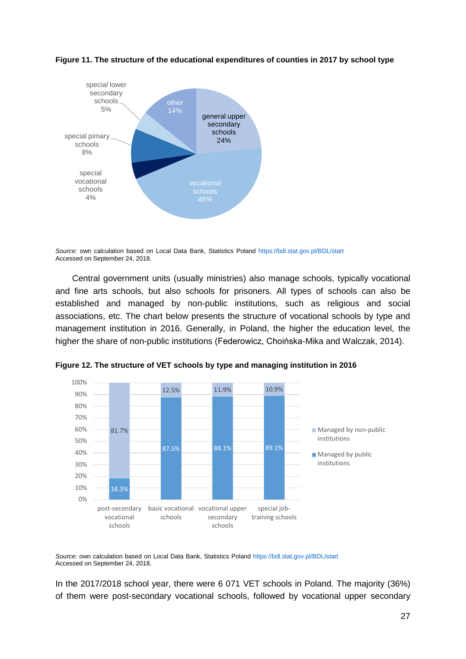

<span id="page-27-0"></span>**Figure 11. The structure of the educational expenditures of counties in 2017 by school type**

*Source:* own calculation based on Local Data Bank, Statistics Poland<https://bdl.stat.gov.pl/BDL/start> Accessed on September 24, 2018.

Central government units (usually ministries) also manage schools, typically vocational and fine arts schools, but also schools for prisoners. All types of schools can also be established and managed by non-public institutions, such as religious and social associations, etc. The chart below presents the structure of vocational schools by type and management institution in 2016. Generally, in Poland, the higher the education level, the higher the share of non-public institutions (Federowicz, Choińska-Mika and Walczak, 2014).



<span id="page-27-1"></span>**Figure 12. The structure of VET schools by type and managing institution in 2016**

*Source:* own calculation based on Local Data Bank, Statistics Poland<https://bdl.stat.gov.pl/BDL/start> Accessed on September 24, 2018.

In the 2017/2018 school year, there were 6 071 VET schools in Poland. The majority (36%) of them were post-secondary vocational schools, followed by vocational upper secondary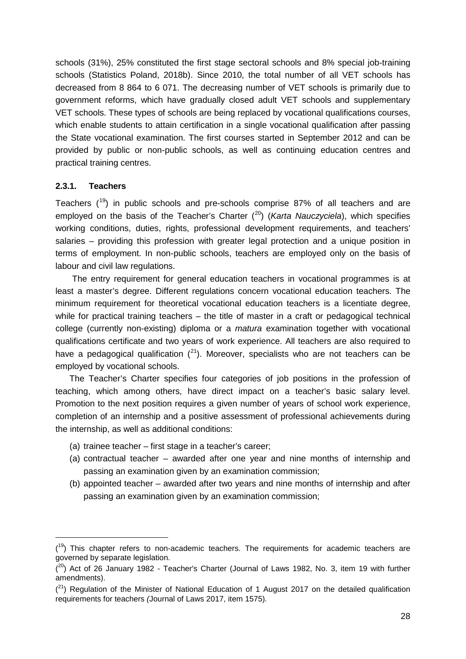schools (31%), 25% constituted the first stage sectoral schools and 8% special job-training schools (Statistics Poland, 2018b). Since 2010, the total number of all VET schools has decreased from 8 864 to 6 071. The decreasing number of VET schools is primarily due to government reforms, which have gradually closed adult VET schools and supplementary VET schools. These types of schools are being replaced by vocational qualifications courses, which enable students to attain certification in a single vocational qualification after passing the State vocational examination. The first courses started in September 2012 and can be provided by public or non-public schools, as well as continuing education centres and practical training centres.

#### **2.3.1. Teachers**

-

Teachers  $(19)$  $(19)$  in public schools and pre-schools comprise 87% of all teachers and are employed on the basis of the Teacher's Charter ( [20](#page-28-1)) (*Karta Nauczyciela*), which specifies working conditions, duties, rights, professional development requirements, and teachers' salaries – providing this profession with greater legal protection and a unique position in terms of employment. In non-public schools, teachers are employed only on the basis of labour and civil law regulations.

The entry requirement for general education teachers in vocational programmes is at least a master's degree. Different regulations concern vocational education teachers. The minimum requirement for theoretical vocational education teachers is a licentiate degree, while for practical training teachers – the title of master in a craft or pedagogical technical college (currently non-existing) diploma or a *matura* examination together with vocational qualifications certificate and two years of work experience. All teachers are also required to have a pedagogical qualification  $(^{21})$  $(^{21})$  $(^{21})$ . Moreover, specialists who are not teachers can be employed by vocational schools.

The Teacher's Charter specifies four categories of job positions in the profession of teaching, which among others, have direct impact on a teacher's basic salary level. Promotion to the next position requires a given number of years of school work experience, completion of an internship and a positive assessment of professional achievements during the internship, as well as additional conditions:

- (a) trainee teacher first stage in a teacher's career;
- (a) contractual teacher awarded after one year and nine months of internship and passing an examination given by an examination commission;
- (b) appointed teacher awarded after two years and nine months of internship and after passing an examination given by an examination commission;

<span id="page-28-0"></span> $(19)$  This chapter refers to non-academic teachers. The requirements for academic teachers are governed by separate legislation.

<span id="page-28-1"></span> $(20)$  Act of 26 January 1982 - Teacher's Charter (Journal of Laws 1982, No. 3, item 19 with further amendments).

<span id="page-28-2"></span> $(2<sup>1</sup>)$  Regulation of the Minister of National Education of 1 August 2017 on the detailed qualification requirements for teachers *(*Journal of Laws 2017, item 1575)*.*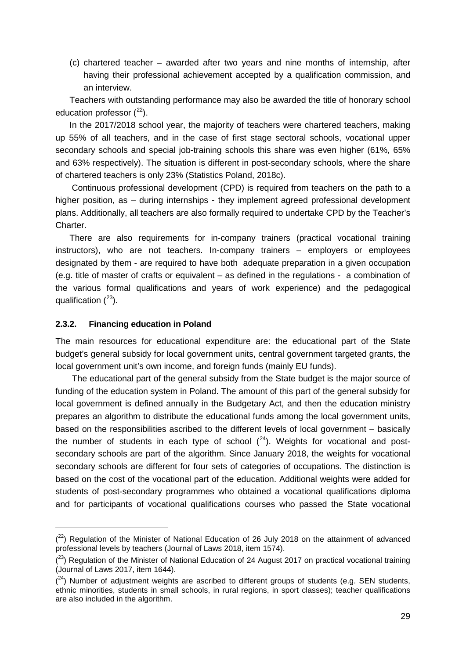(c) chartered teacher – awarded after two years and nine months of internship, after having their professional achievement accepted by a qualification commission, and an interview.

Teachers with outstanding performance may also be awarded the title of honorary school education professor  $(^{22})$  $(^{22})$  $(^{22})$ .

In the 2017/2018 school year, the majority of teachers were chartered teachers, making up 55% of all teachers, and in the case of first stage sectoral schools, vocational upper secondary schools and special job-training schools this share was even higher (61%, 65% and 63% respectively). The situation is different in post-secondary schools, where the share of chartered teachers is only 23% (Statistics Poland, 2018c).

Continuous professional development (CPD) is required from teachers on the path to a higher position, as – during internships - they implement agreed professional development plans. Additionally, all teachers are also formally required to undertake CPD by the Teacher's Charter.

There are also requirements for in-company trainers (practical vocational training instructors), who are not teachers. In-company trainers – employers or employees designated by them - are required to have both adequate preparation in a given occupation (e.g. title of master of crafts or equivalent – as defined in the regulations - a combination of the various formal qualifications and years of work experience) and the pedagogical qualification (<sup>23</sup>).

#### **2.3.2. Financing education in Poland**

-

The main resources for educational expenditure are: the educational part of the State budget's general subsidy for local government units, central government targeted grants, the local government unit's own income, and foreign funds (mainly EU funds).

The educational part of the general subsidy from the State budget is the major source of funding of the education system in Poland. The amount of this part of the general subsidy for local government is defined annually in the Budgetary Act, and then the education ministry prepares an algorithm to distribute the educational funds among the local government units, based on the responsibilities ascribed to the different levels of local government – basically the number of students in each type of school  $(24)$  $(24)$ . Weights for vocational and postsecondary schools are part of the algorithm. Since January 2018, the weights for vocational secondary schools are different for four sets of categories of occupations. The distinction is based on the cost of the vocational part of the education. Additional weights were added for students of post-secondary programmes who obtained a vocational qualifications diploma and for participants of vocational qualifications courses who passed the State vocational

<span id="page-29-0"></span> $(2^2)$  Regulation of the Minister of National Education of 26 July 2018 on the attainment of advanced professional levels by teachers (Journal of Laws 2018, item 1574).

<span id="page-29-1"></span> $(23)$  Regulation of the Minister of National Education of 24 August 2017 on practical vocational training (Journal of Laws 2017, item 1644).

<span id="page-29-2"></span> $(24)$  Number of adjustment weights are ascribed to different groups of students (e.g. SEN students, ethnic minorities, students in small schools, in rural regions, in sport classes); teacher qualifications are also included in the algorithm.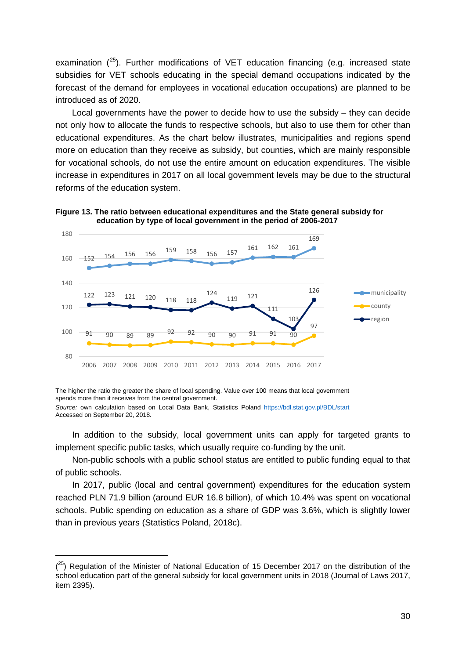examination  $(^{25})$  $(^{25})$  $(^{25})$ . Further modifications of VET education financing (e.g. increased state subsidies for VET schools educating in the special demand occupations indicated by the forecast of the demand for employees in vocational education occupations) are planned to be introduced as of 2020.

Local governments have the power to decide how to use the subsidy – they can decide not only how to allocate the funds to respective schools, but also to use them for other than educational expenditures. As the chart below illustrates, municipalities and regions spend more on education than they receive as subsidy, but counties, which are mainly responsible for vocational schools, do not use the entire amount on education expenditures. The visible increase in expenditures in 2017 on all local government levels may be due to the structural reforms of the education system.



<span id="page-30-0"></span>

The higher the ratio the greater the share of local spending. Value over 100 means that local government spends more than it receives from the central government.

-

In addition to the subsidy, local government units can apply for targeted grants to implement specific public tasks, which usually require co-funding by the unit.

Non-public schools with a public school status are entitled to public funding equal to that of public schools.

In 2017, public (local and central government) expenditures for the education system reached PLN 71.9 billion (around EUR 16.8 billion), of which 10.4% was spent on vocational schools. Public spending on education as a share of GDP was 3.6%, which is slightly lower than in previous years (Statistics Poland, 2018c).

*Source:* own calculation based on Local Data Bank, Statistics Poland<https://bdl.stat.gov.pl/BDL/start> Accessed on September 20, 2018*.*

<span id="page-30-1"></span> $(25)$  Regulation of the Minister of National Education of 15 December 2017 on the distribution of the school education part of the general subsidy for local government units in 2018 (Journal of Laws 2017, item 2395).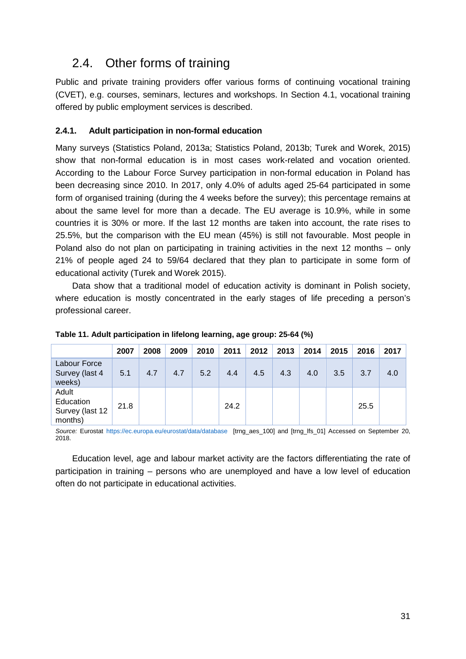## <span id="page-31-0"></span>2.4. Other forms of training

Public and private training providers offer various forms of continuing vocational training (CVET), e.g. courses, seminars, lectures and workshops. In Section 4.1, vocational training offered by public employment services is described.

#### **2.4.1. Adult participation in non-formal education**

Many surveys (Statistics Poland, 2013a; Statistics Poland, 2013b; Turek and Worek, 2015) show that non-formal education is in most cases work-related and vocation oriented. According to the Labour Force Survey participation in non-formal education in Poland has been decreasing since 2010. In 2017, only 4.0% of adults aged 25-64 participated in some form of organised training (during the 4 weeks before the survey); this percentage remains at about the same level for more than a decade. The EU average is 10.9%, while in some countries it is 30% or more. If the last 12 months are taken into account, the rate rises to 25.5%, but the comparison with the EU mean (45%) is still not favourable. Most people in Poland also do not plan on participating in training activities in the next 12 months – only 21% of people aged 24 to 59/64 declared that they plan to participate in some form of educational activity (Turek and Worek 2015).

Data show that a traditional model of education activity is dominant in Polish society, where education is mostly concentrated in the early stages of life preceding a person's professional career.

|                                                  | 2007 | 2008 | 2009 | 2010 | 2011 | 2012 | 2013 | 2014 | 2015 | 2016 | 2017 |
|--------------------------------------------------|------|------|------|------|------|------|------|------|------|------|------|
| Labour Force<br>Survey (last 4<br>weeks)         | 5.1  | 4.7  | 4.7  | 5.2  | 4.4  | 4.5  | 4.3  | 4.0  | 3.5  | 3.7  | 4.0  |
| Adult<br>Education<br>Survey (last 12<br>months) | 21.8 |      |      |      | 24.2 |      |      |      |      | 25.5 |      |

<span id="page-31-1"></span>**Table 11. Adult participation in lifelong learning, age group: 25-64 (%)**

*Source:* Eurostat <https://ec.europa.eu/eurostat/data/database> [trng\_aes\_100] and [trng\_lfs\_01] Accessed on September 20, 2018.

Education level, age and labour market activity are the factors differentiating the rate of participation in training – persons who are unemployed and have a low level of education often do not participate in educational activities.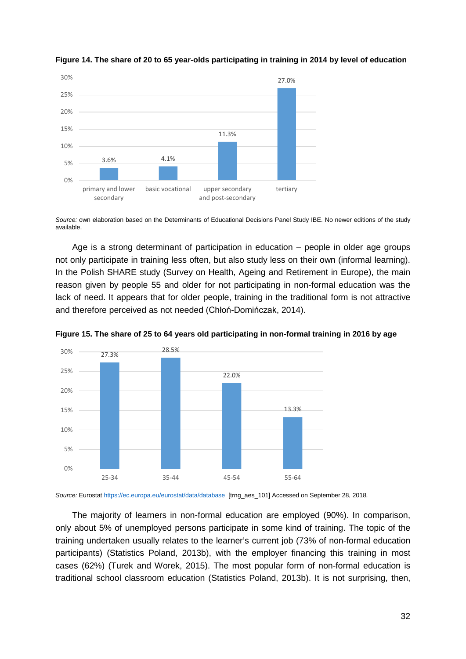

<span id="page-32-0"></span>

*Source:* own elaboration based on the Determinants of Educational Decisions Panel Study IBE. No newer editions of the study available.

Age is a strong determinant of participation in education – people in older age groups not only participate in training less often, but also study less on their own (informal learning). In the Polish SHARE study (Survey on Health, Ageing and Retirement in Europe), the main reason given by people 55 and older for not participating in non-formal education was the lack of need. It appears that for older people, training in the traditional form is not attractive and therefore perceived as not needed (Chłoń-Domińczak, 2014).



<span id="page-32-1"></span>**Figure 15. The share of 25 to 64 years old participating in non-formal training in 2016 by age**

*Source:* Eurostat <https://ec.europa.eu/eurostat/data/database> [trng\_aes\_101] Accessed on September 28, 2018*.*

The majority of learners in non-formal education are employed (90%). In comparison, only about 5% of unemployed persons participate in some kind of training. The topic of the training undertaken usually relates to the learner's current job (73% of non-formal education participants) (Statistics Poland, 2013b), with the employer financing this training in most cases (62%) (Turek and Worek, 2015). The most popular form of non-formal education is traditional school classroom education (Statistics Poland, 2013b). It is not surprising, then,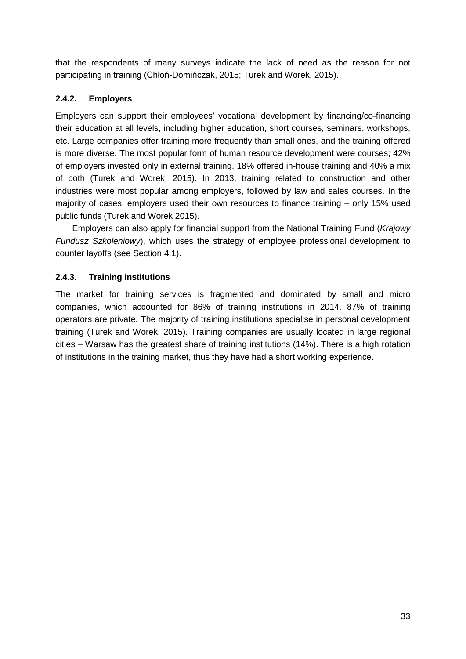that the respondents of many surveys indicate the lack of need as the reason for not participating in training (Chłoń-Domińczak, 2015; Turek and Worek, 2015).

#### **2.4.2. Employers**

Employers can support their employees' vocational development by financing/co-financing their education at all levels, including higher education, short courses, seminars, workshops, etc. Large companies offer training more frequently than small ones, and the training offered is more diverse. The most popular form of human resource development were courses; 42% of employers invested only in external training, 18% offered in-house training and 40% a mix of both (Turek and Worek, 2015). In 2013, training related to construction and other industries were most popular among employers, followed by law and sales courses. In the majority of cases, employers used their own resources to finance training – only 15% used public funds (Turek and Worek 2015).

Employers can also apply for financial support from the National Training Fund (*Krajowy Fundusz Szkoleniowy*), which uses the strategy of employee professional development to counter layoffs (see Section 4.1).

#### **2.4.3. Training institutions**

The market for training services is fragmented and dominated by small and micro companies, which accounted for 86% of training institutions in 2014. 87% of training operators are private. The majority of training institutions specialise in personal development training (Turek and Worek, 2015). Training companies are usually located in large regional cities – Warsaw has the greatest share of training institutions (14%). There is a high rotation of institutions in the training market, thus they have had a short working experience.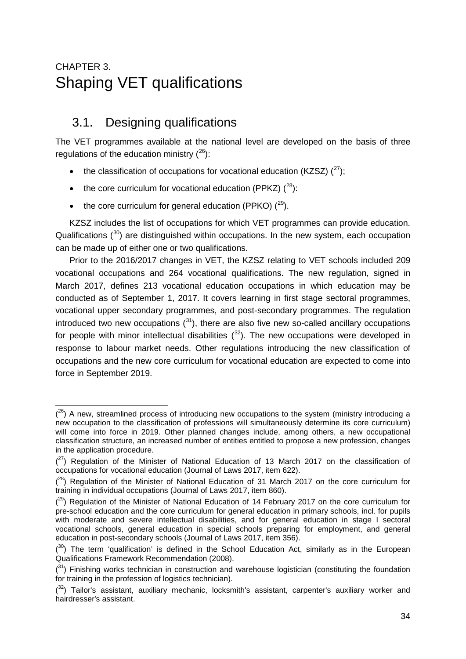## <span id="page-34-0"></span>CHAPTER 3. Shaping VET qualifications

## <span id="page-34-1"></span>3.1. Designing qualifications

The VET programmes available at the national level are developed on the basis of three regulations of the education ministry  $(^{26})$ :

- the classification of occupations for vocational education (KZSZ)  $(^{27})$  $(^{27})$  $(^{27})$ ;
- the core curriculum for vocational education (PPKZ)  $(^{28})$ :
- the core curriculum for general education (PPKO)  $(^{29})$ .

KZSZ includes the list of occupations for which VET programmes can provide education. Qualifications  $(30)$  $(30)$  are distinguished within occupations. In the new system, each occupation can be made up of either one or two qualifications.

Prior to the 2016/2017 changes in VET, the KZSZ relating to VET schools included 209 vocational occupations and 264 vocational qualifications. The new regulation, signed in March 2017, defines 213 vocational education occupations in which education may be conducted as of September 1, 2017. It covers learning in first stage sectoral programmes, vocational upper secondary programmes, and post-secondary programmes. The regulation introduced two new occupations  $(^{31})$  $(^{31})$  $(^{31})$ , there are also five new so-called ancillary occupations for people with minor intellectual disabilities  $(32)$  $(32)$  $(32)$ . The new occupations were developed in response to labour market needs. Other regulations introducing the new classification of occupations and the new core curriculum for vocational education are expected to come into force in September 2019.

<span id="page-34-2"></span><sup>-</sup> $(2^6)$  A new, streamlined process of introducing new occupations to the system (ministry introducing a new occupation to the classification of professions will simultaneously determine its core curriculum) will come into force in 2019. Other planned changes include, among others, a new occupational classification structure, an increased number of entities entitled to propose a new profession, changes in the application procedure.

<span id="page-34-3"></span> $(27)$  Regulation of the Minister of National Education of 13 March 2017 on the classification of occupations for vocational education (Journal of Laws 2017, item 622).

<span id="page-34-4"></span> $(28)$  Regulation of the Minister of National Education of 31 March 2017 on the core curriculum for training in individual occupations (Journal of Laws 2017, item 860).

<span id="page-34-5"></span> $(29)$  Regulation of the Minister of National Education of 14 February 2017 on the core curriculum for pre-school education and the core curriculum for general education in primary schools, incl. for pupils with moderate and severe intellectual disabilities, and for general education in stage I sectoral vocational schools, general education in special schools preparing for employment, and general education in post-secondary schools (Journal of Laws 2017, item 356).

<span id="page-34-6"></span> $(30)$  The term 'qualification' is defined in the School Education Act, similarly as in the European Qualifications Framework Recommendation (2008).

<span id="page-34-7"></span> $(3)$  Finishing works technician in construction and warehouse logistician (constituting the foundation for training in the profession of logistics technician).

<span id="page-34-8"></span> $(32)$  Tailor's assistant, auxiliary mechanic, locksmith's assistant, carpenter's auxiliary worker and hairdresser's assistant.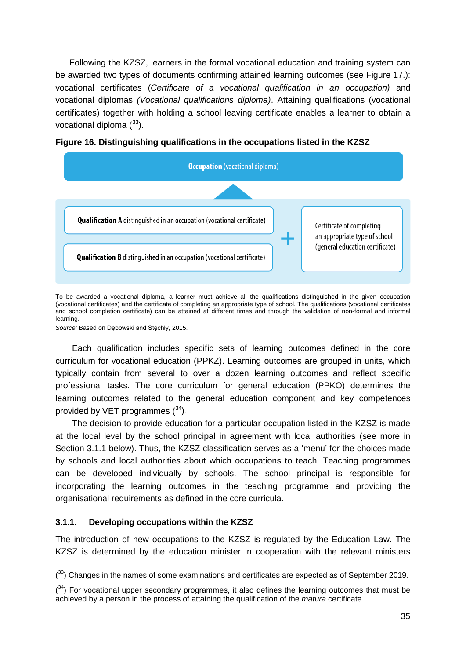Following the KZSZ, learners in the formal vocational education and training system can be awarded two types of documents confirming attained learning outcomes (see Figure 17.): vocational certificates (*Certificate of a vocational qualification in an occupation)* and vocational diplomas *(Vocational qualifications diploma)*. Attaining qualifications (vocational certificates) together with holding a school leaving certificate enables a learner to obtain a vocational diploma  $(^{33})$  $(^{33})$  $(^{33})$ .



<span id="page-35-0"></span>

To be awarded a vocational diploma, a learner must achieve all the qualifications distinguished in the given occupation (vocational certificates) and the certificate of completing an appropriate type of school. The qualifications (vocational certificates and school completion certificate) can be attained at different times and through the validation of non-formal and informal learning.

*Source:* Based on Dębowski and Stęchły, 2015.

Each qualification includes specific sets of learning outcomes defined in the core curriculum for vocational education (PPKZ). Learning outcomes are grouped in units, which typically contain from several to over a dozen learning outcomes and reflect specific professional tasks. The core curriculum for general education (PPKO) determines the learning outcomes related to the general education component and key competences provided by VET programmes  $(^{34})$ .

The decision to provide education for a particular occupation listed in the KZSZ is made at the local level by the school principal in agreement with local authorities (see more in Section 3.1.1 below). Thus, the KZSZ classification serves as a 'menu' for the choices made by schools and local authorities about which occupations to teach. Teaching programmes can be developed individually by schools. The school principal is responsible for incorporating the learning outcomes in the teaching programme and providing the organisational requirements as defined in the core curricula.

#### **3.1.1. Developing occupations within the KZSZ**

The introduction of new occupations to the KZSZ is regulated by the Education Law. The KZSZ is determined by the education minister in cooperation with the relevant ministers

<span id="page-35-1"></span><sup>-</sup> $(33)$  Changes in the names of some examinations and certificates are expected as of September 2019.

<span id="page-35-2"></span> $(34)$  For vocational upper secondary programmes, it also defines the learning outcomes that must be achieved by a person in the process of attaining the qualification of the *matura* certificate.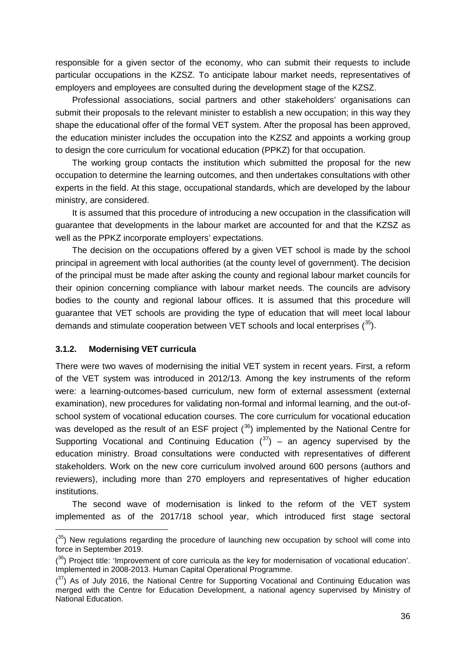responsible for a given sector of the economy, who can submit their requests to include particular occupations in the KZSZ. To anticipate labour market needs, representatives of employers and employees are consulted during the development stage of the KZSZ.

Professional associations, social partners and other stakeholders' organisations can submit their proposals to the relevant minister to establish a new occupation; in this way they shape the educational offer of the formal VET system. After the proposal has been approved, the education minister includes the occupation into the KZSZ and appoints a working group to design the core curriculum for vocational education (PPKZ) for that occupation.

The working group contacts the institution which submitted the proposal for the new occupation to determine the learning outcomes, and then undertakes consultations with other experts in the field. At this stage, occupational standards, which are developed by the labour ministry, are considered.

It is assumed that this procedure of introducing a new occupation in the classification will guarantee that developments in the labour market are accounted for and that the KZSZ as well as the PPKZ incorporate employers' expectations.

The decision on the occupations offered by a given VET school is made by the school principal in agreement with local authorities (at the county level of government). The decision of the principal must be made after asking the county and regional labour market councils for their opinion concerning compliance with labour market needs. The councils are advisory bodies to the county and regional labour offices. It is assumed that this procedure will guarantee that VET schools are providing the type of education that will meet local labour demands and stimulate cooperation between VET schools and local enterprises  $(^{35})$  $(^{35})$  $(^{35})$ .

#### **3.1.2. Modernising VET curricula**

-

There were two waves of modernising the initial VET system in recent years. First, a reform of the VET system was introduced in 2012/13. Among the key instruments of the reform were: a learning-outcomes-based curriculum, new form of external assessment (external examination), new procedures for validating non-formal and informal learning, and the out-ofschool system of vocational education courses. The core curriculum for vocational education was developed as the result of an ESF project  $(36)$  $(36)$  implemented by the National Centre for Supporting Vocational and Continuing Education  $(^{37})$  $(^{37})$  $(^{37})$  – an agency supervised by the education ministry. Broad consultations were conducted with representatives of different stakeholders. Work on the new core curriculum involved around 600 persons (authors and reviewers), including more than 270 employers and representatives of higher education institutions.

The second wave of modernisation is linked to the reform of the VET system implemented as of the 2017/18 school year, which introduced first stage sectoral

<span id="page-36-0"></span> $(35)$  New regulations regarding the procedure of launching new occupation by school will come into force in September 2019.

<span id="page-36-1"></span> $(36)$  Project title: 'Improvement of core curricula as the key for modernisation of vocational education'. Implemented in 2008-2013. Human Capital Operational Programme.

<span id="page-36-2"></span> $(3)$  As of July 2016, the National Centre for Supporting Vocational and Continuing Education was merged with the Centre for Education Development, a national agency supervised by Ministry of National Education.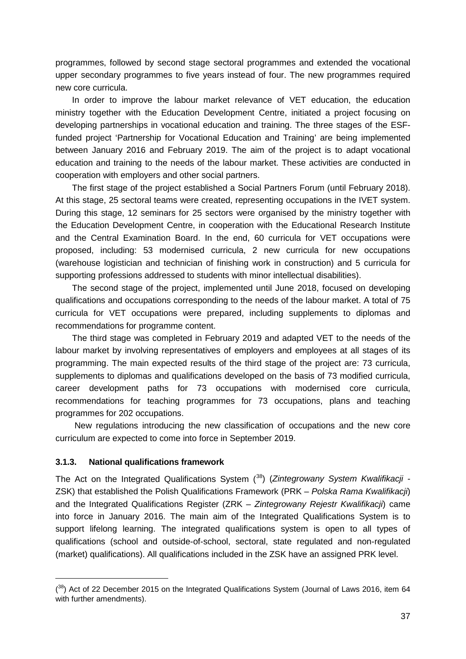programmes, followed by second stage sectoral programmes and extended the vocational upper secondary programmes to five years instead of four. The new programmes required new core curricula.

In order to improve the labour market relevance of VET education, the education ministry together with the Education Development Centre, initiated a project focusing on developing partnerships in vocational education and training. The three stages of the ESFfunded project 'Partnership for Vocational Education and Training' are being implemented between January 2016 and February 2019. The aim of the project is to adapt vocational education and training to the needs of the labour market. These activities are conducted in cooperation with employers and other social partners.

The first stage of the project established a Social Partners Forum (until February 2018). At this stage, 25 sectoral teams were created, representing occupations in the IVET system. During this stage, 12 seminars for 25 sectors were organised by the ministry together with the Education Development Centre, in cooperation with the Educational Research Institute and the Central Examination Board. In the end, 60 curricula for VET occupations were proposed, including: 53 modernised curricula, 2 new curricula for new occupations (warehouse logistician and technician of finishing work in construction) and 5 curricula for supporting professions addressed to students with minor intellectual disabilities).

The second stage of the project, implemented until June 2018, focused on developing qualifications and occupations corresponding to the needs of the labour market. A total of 75 curricula for VET occupations were prepared, including supplements to diplomas and recommendations for programme content.

The third stage was completed in February 2019 and adapted VET to the needs of the labour market by involving representatives of employers and employees at all stages of its programming. The main expected results of the third stage of the project are: 73 curricula, supplements to diplomas and qualifications developed on the basis of 73 modified curricula, career development paths for 73 occupations with modernised core curricula, recommendations for teaching programmes for 73 occupations, plans and teaching programmes for 202 occupations.

New regulations introducing the new classification of occupations and the new core curriculum are expected to come into force in September 2019.

#### **3.1.3. National qualifications framework**

-

The Act on the Integrated Qualifications System ( [38](#page-37-0)) (*Zintegrowany System Kwalifikacji -* ZSK) that established the Polish Qualifications Framework (PRK – *Polska Rama Kwalifikacji*) and the Integrated Qualifications Register (ZRK – *Zintegrowany Rejestr Kwalifikacji*) came into force in January 2016. The main aim of the Integrated Qualifications System is to support lifelong learning. The integrated qualifications system is open to all types of qualifications (school and outside-of-school, sectoral, state regulated and non-regulated (market) qualifications). All qualifications included in the ZSK have an assigned PRK level.

<span id="page-37-0"></span> $(38)$  Act of 22 December 2015 on the Integrated Qualifications System (Journal of Laws 2016, item 64 with further amendments).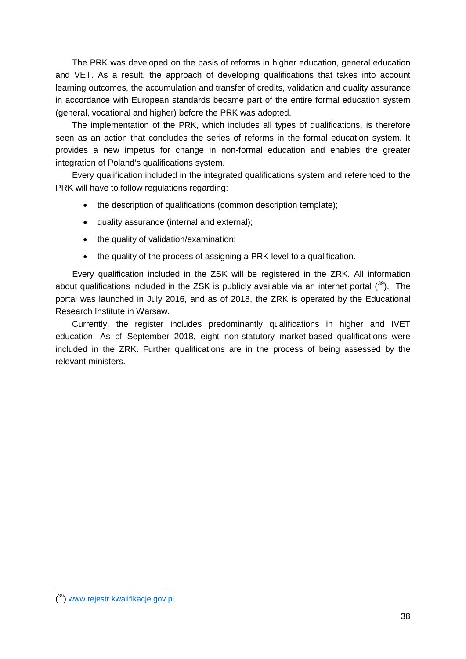The PRK was developed on the basis of reforms in higher education, general education and VET. As a result, the approach of developing qualifications that takes into account learning outcomes, the accumulation and transfer of credits, validation and quality assurance in accordance with European standards became part of the entire formal education system (general, vocational and higher) before the PRK was adopted.

The implementation of the PRK, which includes all types of qualifications, is therefore seen as an action that concludes the series of reforms in the formal education system. It provides a new impetus for change in non-formal education and enables the greater integration of Poland's qualifications system.

Every qualification included in the integrated qualifications system and referenced to the PRK will have to follow regulations regarding:

- the description of qualifications (common description template):
- quality assurance (internal and external);
- the quality of validation/examination;
- the quality of the process of assigning a PRK level to a qualification.

Every qualification included in the ZSK will be registered in the ZRK. All information about qualifications included in the ZSK is publicly available via an internet portal  $(39)$  $(39)$ . The portal was launched in July 2016, and as of 2018, the ZRK is operated by the Educational Research Institute in Warsaw.

<span id="page-38-0"></span>Currently, the register includes predominantly qualifications in higher and IVET education. As of September 2018, eight non-statutory market-based qualifications were included in the ZRK. Further qualifications are in the process of being assessed by the relevant ministers.

-

<span id="page-38-1"></span><sup>(&</sup>lt;sup>39</sup>) [www.rejestr.kwalifikacje.gov.pl](http://www.rejestr.kwalifikacje.gov.pl/)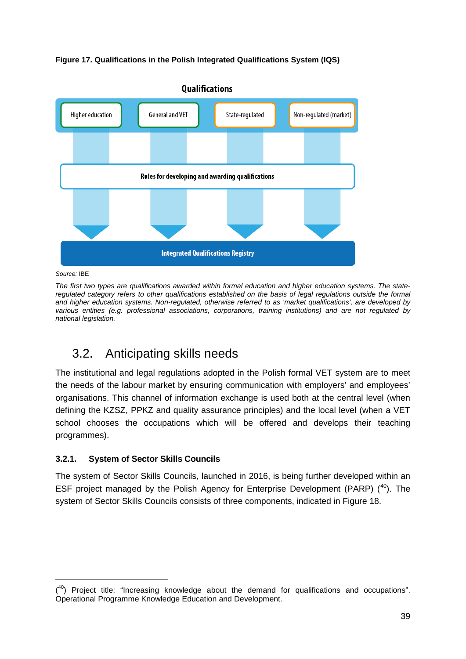



*Source:* IBE

-

*The first two types are qualifications awarded within formal education and higher education systems. The stateregulated category refers to other qualifications established on the basis of legal regulations outside the formal and higher education systems. Non-regulated, otherwise referred to as 'market qualifications', are developed by various entities (e.g. professional associations, corporations, training institutions) and are not regulated by national legislation.*

## <span id="page-39-0"></span>3.2. Anticipating skills needs

The institutional and legal regulations adopted in the Polish formal VET system are to meet the needs of the labour market by ensuring communication with employers' and employees' organisations. This channel of information exchange is used both at the central level (when defining the KZSZ, PPKZ and quality assurance principles) and the local level (when a VET school chooses the occupations which will be offered and develops their teaching programmes).

#### **3.2.1. System of Sector Skills Councils**

The system of Sector Skills Councils, launched in 2016, is being further developed within an ESF project managed by the Polish Agency for Enterprise Development (PARP) ([40\)](#page-39-1). The system of Sector Skills Councils consists of three components, indicated in Figure 18.

<span id="page-39-1"></span> $(40)$  Project title: "Increasing knowledge about the demand for qualifications and occupations". Operational Programme Knowledge Education and Development.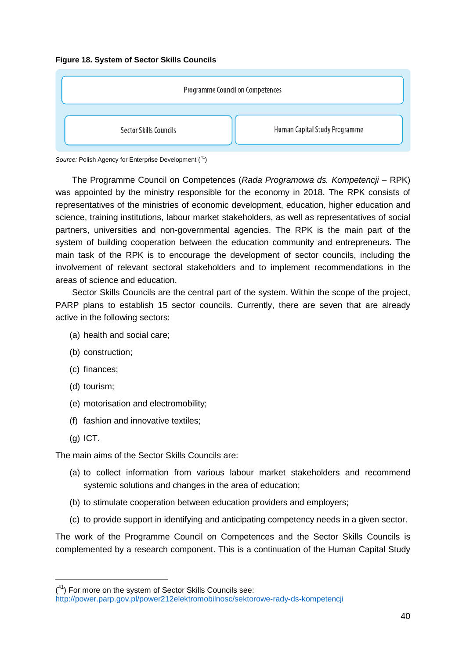<span id="page-40-0"></span>



Source: Polish Agency for Enterprise Development (<sup>41</sup>)

The Programme Council on Competences (*Rada Programowa ds. Kompetencji* – RPK) was appointed by the ministry responsible for the economy in 2018. The RPK consists of representatives of the ministries of economic development, education, higher education and science, training institutions, labour market stakeholders, as well as representatives of social partners, universities and non-governmental agencies. The RPK is the main part of the system of building cooperation between the education community and entrepreneurs. The main task of the RPK is to encourage the development of sector councils, including the involvement of relevant sectoral stakeholders and to implement recommendations in the areas of science and education.

Sector Skills Councils are the central part of the system. Within the scope of the project, PARP plans to establish 15 sector councils. Currently, there are seven that are already active in the following sectors:

- (a) health and social care;
- (b) construction;
- (c) finances;
- (d) tourism;
- (e) motorisation and electromobility;
- (f) fashion and innovative textiles;
- (g) ICT.

-

The main aims of the Sector Skills Councils are:

- (a) to collect information from various labour market stakeholders and recommend systemic solutions and changes in the area of education;
- (b) to stimulate cooperation between education providers and employers;
- (c) to provide support in identifying and anticipating competency needs in a given sector.

The work of the Programme Council on Competences and the Sector Skills Councils is complemented by a research component. This is a continuation of the Human Capital Study

<span id="page-40-1"></span> $(4)$  For more on the system of Sector Skills Councils see:

<http://power.parp.gov.pl/power212elektromobilnosc/sektorowe-rady-ds-kompetencji>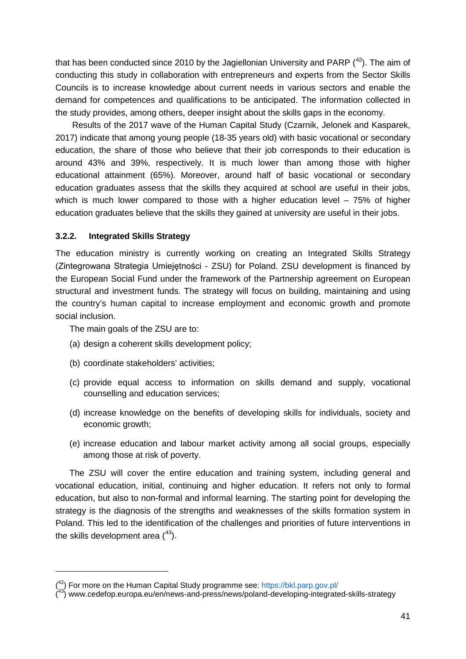that has been conducted since 2010 by the Jagiellonian University and PARP  $(42)$  $(42)$ . The aim of conducting this study in collaboration with entrepreneurs and experts from the Sector Skills Councils is to increase knowledge about current needs in various sectors and enable the demand for competences and qualifications to be anticipated. The information collected in the study provides, among others, deeper insight about the skills gaps in the economy.

Results of the 2017 wave of the Human Capital Study (Czarnik, Jelonek and Kasparek, 2017) indicate that among young people (18-35 years old) with basic vocational or secondary education, the share of those who believe that their job corresponds to their education is around 43% and 39%, respectively. It is much lower than among those with higher educational attainment (65%). Moreover, around half of basic vocational or secondary education graduates assess that the skills they acquired at school are useful in their jobs, which is much lower compared to those with a higher education level – 75% of higher education graduates believe that the skills they gained at university are useful in their jobs.

#### **3.2.2. Integrated Skills Strategy**

The education ministry is currently working on creating an Integrated Skills Strategy (Zintegrowana Strategia Umiejętności - ZSU) for Poland. ZSU development is financed by the European Social Fund under the framework of the Partnership agreement on European structural and investment funds. The strategy will focus on building, maintaining and using the country's human capital to increase employment and economic growth and promote social inclusion.

The main goals of the ZSU are to:

-

- (a) design a coherent skills development policy;
- (b) coordinate stakeholders' activities;
- (c) provide equal access to information on skills demand and supply, vocational counselling and education services;
- (d) increase knowledge on the benefits of developing skills for individuals, society and economic growth;
- (e) increase education and labour market activity among all social groups, especially among those at risk of poverty.

The ZSU will cover the entire education and training system, including general and vocational education, initial, continuing and higher education. It refers not only to formal education, but also to non-formal and informal learning. The starting point for developing the strategy is the diagnosis of the strengths and weaknesses of the skills formation system in Poland. This led to the identification of the challenges and priorities of future interventions in the skills development area  $(^{43})$  $(^{43})$  $(^{43})$ .

<span id="page-41-0"></span><sup>(&</sup>lt;sup>42</sup>) For more on the Human Capital Study programme see:<https://bkl.parp.gov.pl/>

<span id="page-41-1"></span><sup>(43)</sup> www.cedefop.europa.eu/en/news-and-press/news/poland-developing-integrated-skills-strategy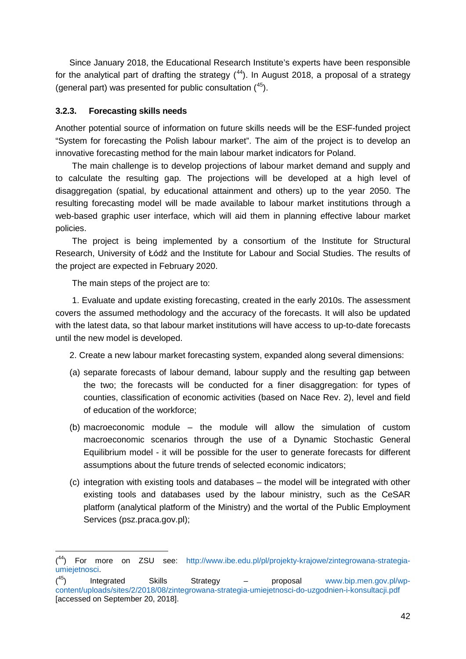Since January 2018, the Educational Research Institute's experts have been responsible for the analytical part of drafting the strategy  $(^{44})$  $(^{44})$  $(^{44})$ . In August 2018, a proposal of a strategy (general part) was presented for public consultation  $(^{45})$  $(^{45})$  $(^{45})$ .

#### **3.2.3. Forecasting skills needs**

Another potential source of information on future skills needs will be the ESF-funded project "System for forecasting the Polish labour market". The aim of the project is to develop an innovative forecasting method for the main labour market indicators for Poland.

The main challenge is to develop projections of labour market demand and supply and to calculate the resulting gap. The projections will be developed at a high level of disaggregation (spatial, by educational attainment and others) up to the year 2050. The resulting forecasting model will be made available to labour market institutions through a web-based graphic user interface, which will aid them in planning effective labour market policies.

The project is being implemented by a consortium of the Institute for Structural Research, University of Łódź and the Institute for Labour and Social Studies. The results of the project are expected in February 2020.

The main steps of the project are to:

-

1. Evaluate and update existing forecasting, created in the early 2010s. The assessment covers the assumed methodology and the accuracy of the forecasts. It will also be updated with the latest data, so that labour market institutions will have access to up-to-date forecasts until the new model is developed.

2. Create a new labour market forecasting system, expanded along several dimensions:

- (a) separate forecasts of labour demand, labour supply and the resulting gap between the two; the forecasts will be conducted for a finer disaggregation: for types of counties, classification of economic activities (based on Nace Rev. 2), level and field of education of the workforce;
- (b) macroeconomic module the module will allow the simulation of custom macroeconomic scenarios through the use of a Dynamic Stochastic General Equilibrium model - it will be possible for the user to generate forecasts for different assumptions about the future trends of selected economic indicators;
- (c) integration with existing tools and databases the model will be integrated with other existing tools and databases used by the labour ministry, such as the CeSAR platform (analytical platform of the Ministry) and the wortal of the Public Employment Services (psz.praca.gov.pl);

<span id="page-42-0"></span> $(^{44})$  For more on ZSU see: [http://www.ibe.edu.pl/pl/projekty-krajowe/zintegrowana-strategia](http://www.ibe.edu.pl/pl/projekty-krajowe/zintegrowana-strategia-umiejetnosci)[umiejetnosci.](http://www.ibe.edu.pl/pl/projekty-krajowe/zintegrowana-strategia-umiejetnosci)

<span id="page-42-1"></span> $(45)$ 45) Integrated Skills Strategy – proposal [www.bip.men.gov.pl/wp](http://www.bip.men.gov.pl/wp-content/uploads/sites/2/2018/08/zintegrowana-strategia-umiejetnosci-do-uzgodnien-i-konsultacji.pdf)[content/uploads/sites/2/2018/08/zintegrowana-strategia-umiejetnosci-do-uzgodnien-i-konsultacji.pdf](http://www.bip.men.gov.pl/wp-content/uploads/sites/2/2018/08/zintegrowana-strategia-umiejetnosci-do-uzgodnien-i-konsultacji.pdf) [accessed on September 20, 2018].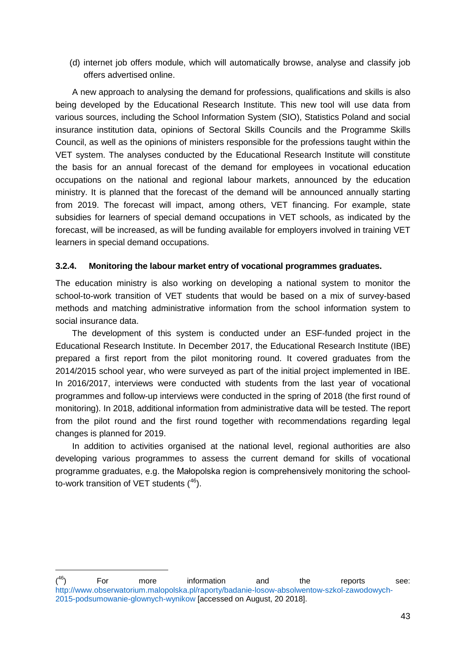(d) internet job offers module, which will automatically browse, analyse and classify job offers advertised online.

A new approach to analysing the demand for professions, qualifications and skills is also being developed by the Educational Research Institute. This new tool will use data from various sources, including the School Information System (SIO), Statistics Poland and social insurance institution data, opinions of Sectoral Skills Councils and the Programme Skills Council, as well as the opinions of ministers responsible for the professions taught within the VET system. The analyses conducted by the Educational Research Institute will constitute the basis for an annual forecast of the demand for employees in vocational education occupations on the national and regional labour markets, announced by the education ministry. It is planned that the forecast of the demand will be announced annually starting from 2019. The forecast will impact, among others, VET financing. For example, state subsidies for learners of special demand occupations in VET schools, as indicated by the forecast, will be increased, as will be funding available for employers involved in training VET learners in special demand occupations.

#### **3.2.4. Monitoring the labour market entry of vocational programmes graduates.**

The education ministry is also working on developing a national system to monitor the school-to-work transition of VET students that would be based on a mix of survey-based methods and matching administrative information from the school information system to social insurance data.

The development of this system is conducted under an ESF-funded project in the Educational Research Institute. In December 2017, the Educational Research Institute (IBE) prepared a first report from the pilot monitoring round. It covered graduates from the 2014/2015 school year, who were surveyed as part of the initial project implemented in IBE. In 2016/2017, interviews were conducted with students from the last year of vocational programmes and follow-up interviews were conducted in the spring of 2018 (the first round of monitoring). In 2018, additional information from administrative data will be tested. The report from the pilot round and the first round together with recommendations regarding legal changes is planned for 2019.

In addition to activities organised at the national level, regional authorities are also developing various programmes to assess the current demand for skills of vocational programme graduates, e.g. the Małopolska region is comprehensively monitoring the schoolto-work transition of VET students  $(46)$  $(46)$ .

-

<span id="page-43-0"></span> $(46)$  $^{46}$ ) For more information and the reports see: [http://www.obserwatorium.malopolska.pl/raporty/badanie-losow-absolwentow-szkol-zawodowych-](http://www.obserwatorium.malopolska.pl/raporty/badanie-losow-absolwentow-szkol-zawodowych-2015-podsumowanie-glownych-wynikow)[2015-podsumowanie-glownych-wynikow](http://www.obserwatorium.malopolska.pl/raporty/badanie-losow-absolwentow-szkol-zawodowych-2015-podsumowanie-glownych-wynikow) [accessed on August, 20 2018].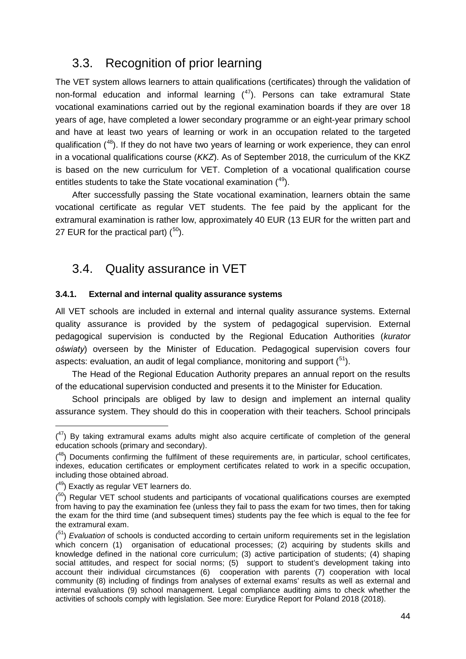### <span id="page-44-0"></span>3.3. Recognition of prior learning

The VET system allows learners to attain qualifications (certificates) through the validation of non-formal education and informal learning  $(4)$ . Persons can take extramural State vocational examinations carried out by the regional examination boards if they are over 18 years of age, have completed a lower secondary programme or an eight-year primary school and have at least two years of learning or work in an occupation related to the targeted qualification  $(48)$  $(48)$  $(48)$ . If they do not have two years of learning or work experience, they can enrol in a vocational qualifications course (*KKZ*). As of September 2018, the curriculum of the KKZ is based on the new curriculum for VET. Completion of a vocational qualification course entitles students to take the State vocational examination  $(49)$  $(49)$  $(49)$ .

After successfully passing the State vocational examination, learners obtain the same vocational certificate as regular VET students. The fee paid by the applicant for the extramural examination is rather low, approximately 40 EUR (13 EUR for the written part and 27 EUR for the practical part)  $(50)$  $(50)$  $(50)$ .

### <span id="page-44-1"></span>3.4. Quality assurance in VET

#### **3.4.1. External and internal quality assurance systems**

All VET schools are included in external and internal quality assurance systems. External quality assurance is provided by the system of pedagogical supervision. External pedagogical supervision is conducted by the Regional Education Authorities (*kurator oświaty*) overseen by the Minister of Education. Pedagogical supervision covers four aspects: evaluation, an audit of legal compliance, monitoring and support  $(^{51})$  $(^{51})$  $(^{51})$ .

The Head of the Regional Education Authority prepares an annual report on the results of the educational supervision conducted and presents it to the Minister for Education.

School principals are obliged by law to design and implement an internal quality assurance system. They should do this in cooperation with their teachers. School principals

-

<span id="page-44-2"></span> $(4)$  By taking extramural exams adults might also acquire certificate of completion of the general education schools (primary and secondary).

<span id="page-44-3"></span> $(48)$  Documents confirming the fulfilment of these requirements are, in particular, school certificates, indexes, education certificates or employment certificates related to work in a specific occupation, including those obtained abroad.

 $(49)$  Exactly as regular VET learners do.

<span id="page-44-5"></span><span id="page-44-4"></span> $(50)$  Regular VET school students and participants of vocational qualifications courses are exempted from having to pay the examination fee (unless they fail to pass the exam for two times, then for taking the exam for the third time (and subsequent times) students pay the fee which is equal to the fee for the extramural exam.

<span id="page-44-6"></span><sup>(&</sup>lt;sup>51</sup>) *Evaluation* of schools is conducted according to certain uniform requirements set in the legislation which concern (1) organisation of educational processes: (2) acquiring by students skills and knowledge defined in the national core curriculum; (3) active participation of students; (4) shaping social attitudes, and respect for social norms; (5) support to student's development taking into account their individual circumstances (6) cooperation with parents (7) cooperation with local community (8) including of findings from analyses of external exams' results as well as external and internal evaluations (9) school management. Legal compliance auditing aims to check whether the activities of schools comply with legislation. See more: Eurydice Report for Poland 2018 (2018).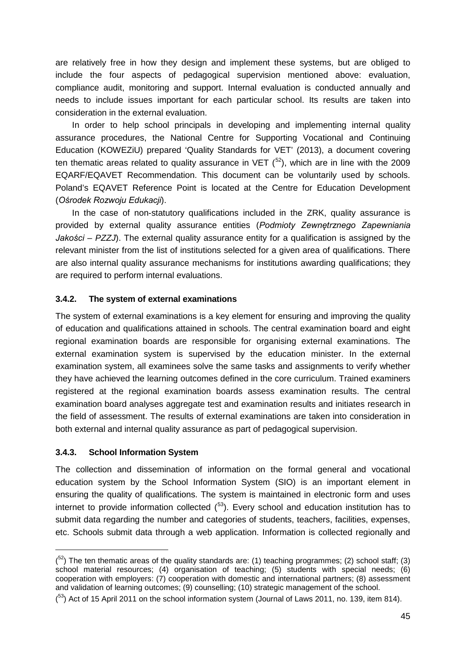are relatively free in how they design and implement these systems, but are obliged to include the four aspects of pedagogical supervision mentioned above: evaluation, compliance audit, monitoring and support. Internal evaluation is conducted annually and needs to include issues important for each particular school. Its results are taken into consideration in the external evaluation.

In order to help school principals in developing and implementing internal quality assurance procedures, the National Centre for Supporting Vocational and Continuing Education (KOWEZiU) prepared 'Quality Standards for VET' (2013), a document covering ten thematic areas related to quality assurance in VET  $(^{52})$ , which are in line with the 2009 EQARF/EQAVET Recommendation. This document can be voluntarily used by schools. Poland's EQAVET Reference Point is located at the Centre for Education Development (*Ośrodek Rozwoju Edukacji*).

In the case of non-statutory qualifications included in the ZRK, quality assurance is provided by external quality assurance entities (*Podmioty Zewnętrznego Zapewniania Jakości – PZZJ*). The external quality assurance entity for a qualification is assigned by the relevant minister from the list of institutions selected for a given area of qualifications. There are also internal quality assurance mechanisms for institutions awarding qualifications; they are required to perform internal evaluations.

#### **3.4.2. The system of external examinations**

The system of external examinations is a key element for ensuring and improving the quality of education and qualifications attained in schools. The central examination board and eight regional examination boards are responsible for organising external examinations. The external examination system is supervised by the education minister. In the external examination system, all examinees solve the same tasks and assignments to verify whether they have achieved the learning outcomes defined in the core curriculum. Trained examiners registered at the regional examination boards assess examination results. The central examination board analyses aggregate test and examination results and initiates research in the field of assessment. The results of external examinations are taken into consideration in both external and internal quality assurance as part of pedagogical supervision.

#### **3.4.3. School Information System**

-

The collection and dissemination of information on the formal general and vocational education system by the School Information System (SIO) is an important element in ensuring the quality of qualifications. The system is maintained in electronic form and uses internet to provide information collected  $(^{53})$ . Every school and education institution has to submit data regarding the number and categories of students, teachers, facilities, expenses, etc. Schools submit data through a web application. Information is collected regionally and

<span id="page-45-0"></span> $(52)$  The ten thematic areas of the quality standards are: (1) teaching programmes; (2) school staff; (3) school material resources; (4) organisation of teaching; (5) students with special needs; (6) cooperation with employers: (7) cooperation with domestic and international partners; (8) assessment and validation of learning outcomes; (9) counselling; (10) strategic management of the school.

<span id="page-45-1"></span><sup>(&</sup>lt;sup>53</sup>) Act of 15 April 2011 on the school information system (Journal of Laws 2011, no. 139, item 814).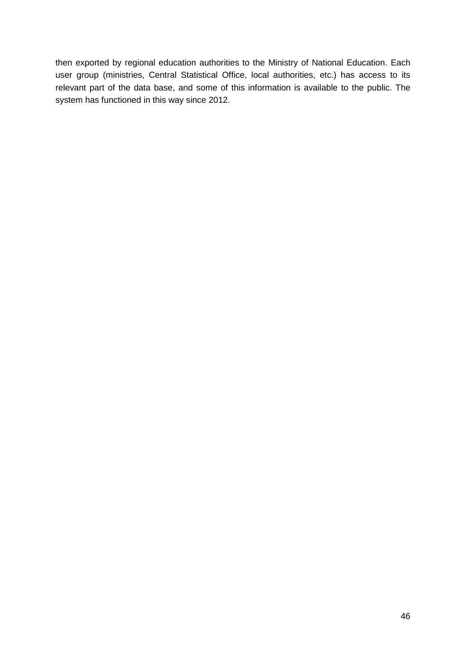then exported by regional education authorities to the Ministry of National Education. Each user group (ministries, Central Statistical Office, local authorities, etc.) has access to its relevant part of the data base, and some of this information is available to the public. The system has functioned in this way since 2012.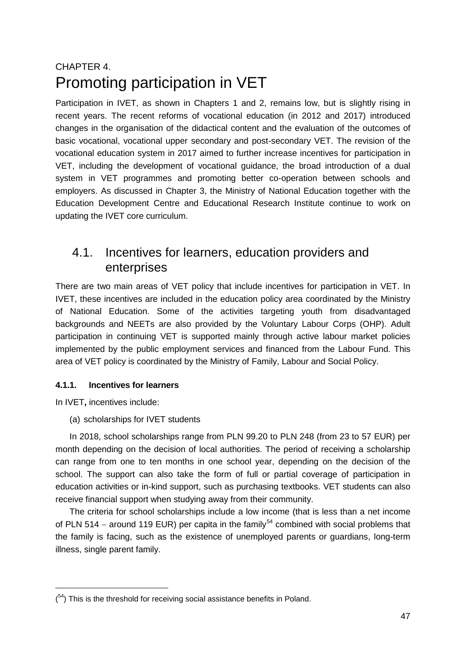## <span id="page-47-0"></span>CHAPTER 4. Promoting participation in VET

Participation in IVET, as shown in Chapters 1 and 2, remains low, but is slightly rising in recent years. The recent reforms of vocational education (in 2012 and 2017) introduced changes in the organisation of the didactical content and the evaluation of the outcomes of basic vocational, vocational upper secondary and post-secondary VET. The revision of the vocational education system in 2017 aimed to further increase incentives for participation in VET, including the development of vocational guidance, the broad introduction of a dual system in VET programmes and promoting better co-operation between schools and employers. As discussed in Chapter 3, the Ministry of National Education together with the Education Development Centre and Educational Research Institute continue to work on updating the IVET core curriculum.

## <span id="page-47-1"></span>4.1. Incentives for learners, education providers and enterprises

There are two main areas of VET policy that include incentives for participation in VET. In IVET, these incentives are included in the education policy area coordinated by the Ministry of National Education. Some of the activities targeting youth from disadvantaged backgrounds and NEETs are also provided by the Voluntary Labour Corps (OHP). Adult participation in continuing VET is supported mainly through active labour market policies implemented by the public employment services and financed from the Labour Fund. This area of VET policy is coordinated by the Ministry of Family, Labour and Social Policy.

#### **4.1.1. Incentives for learners**

In IVET**,** incentives include:

-

(a) scholarships for IVET students

In 2018, school scholarships range from PLN 99.20 to PLN 248 (from 23 to 57 EUR) per month depending on the decision of local authorities. The period of receiving a scholarship can range from one to ten months in one school year, depending on the decision of the school. The support can also take the form of full or partial coverage of participation in education activities or in-kind support, such as purchasing textbooks. VET students can also receive financial support when studying away from their community.

The criteria for school scholarships include a low income (that is less than a net income of PLN 514 – around 119 EUR) per capita in the family<sup>[54](#page-47-2)</sup> combined with social problems that the family is facing, such as the existence of unemployed parents or guardians, long-term illness, single parent family.

<span id="page-47-2"></span> $(54)$  This is the threshold for receiving social assistance benefits in Poland.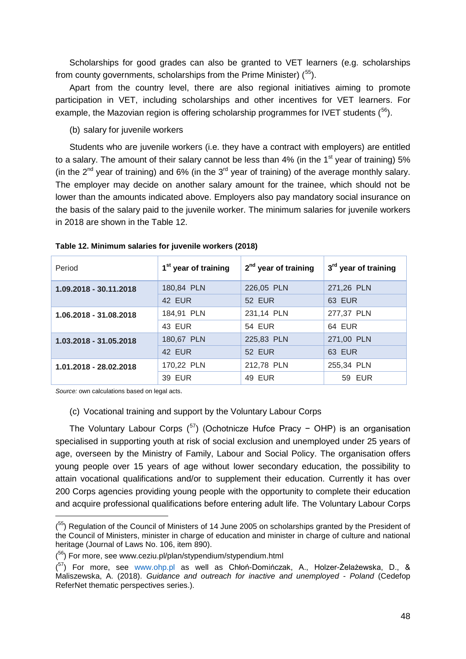Scholarships for good grades can also be granted to VET learners (e.g. scholarships from county governments, scholarships from the Prime Minister) (<sup>55</sup>).

Apart from the country level, there are also regional initiatives aiming to promote participation in VET, including scholarships and other incentives for VET learners. For example, the Mazovian region is offering scholarship programmes for IVET students (<sup>56</sup>).

(b) salary for juvenile workers

Students who are juvenile workers (i.e. they have a contract with employers) are entitled to a salary. The amount of their salary cannot be less than  $4\%$  (in the 1<sup>st</sup> year of training) 5% (in the  $2^{nd}$  year of training) and 6% (in the  $3^{rd}$  year of training) of the average monthly salary. The employer may decide on another salary amount for the trainee, which should not be lower than the amounts indicated above. Employers also pay mandatory social insurance on the basis of the salary paid to the juvenile worker. The minimum salaries for juvenile workers in 2018 are shown in the Table 12.

| Period                 | 1 <sup>st</sup> year of training | $2nd$ year of training | 3 <sup>rd</sup> year of training |
|------------------------|----------------------------------|------------------------|----------------------------------|
| 1.09.2018 - 30.11.2018 | 180,84 PLN                       | 226,05 PLN             | 271,26 PLN                       |
|                        | 42 EUR                           | <b>52 EUR</b>          | <b>63 EUR</b>                    |
| 1.06.2018 - 31.08.2018 | 184,91 PLN                       | 231,14 PLN             | 277,37 PLN                       |
|                        | 43 EUR                           | <b>54 EUR</b>          | 64 EUR                           |
| 1.03.2018 - 31.05.2018 | 180,67 PLN                       | 225,83 PLN             | 271,00 PLN                       |
|                        | 42 EUR                           | <b>52 EUR</b>          | <b>63 EUR</b>                    |
| 1.01.2018 - 28.02.2018 | 170,22 PLN                       | 212,78 PLN             | 255,34 PLN                       |
|                        | <b>39 EUR</b>                    | <b>49 EUR</b>          | <b>59 EUR</b>                    |

<span id="page-48-0"></span>**Table 12. Minimum salaries for juvenile workers (2018)**

*Source:* own calculations based on legal acts.

-

#### (c) Vocational training and support by the Voluntary Labour Corps

The Voluntary Labour Corps  $\binom{57}{7}$  $\binom{57}{7}$  $\binom{57}{7}$  (Ochotnicze Hufce Pracy - OHP) is an organisation specialised in supporting youth at risk of social exclusion and unemployed under 25 years of age, overseen by the Ministry of Family, Labour and Social Policy. The organisation offers young people over 15 years of age without lower secondary education, the possibility to attain vocational qualifications and/or to supplement their education. Currently it has over 200 Corps agencies providing young people with the opportunity to complete their education and acquire professional qualifications before entering adult life. The Voluntary Labour Corps

<span id="page-48-1"></span><sup>(&</sup>lt;sup>55</sup>) Regulation of the Council of Ministers of 14 June 2005 on scholarships granted by the President of the Council of Ministers, minister in charge of education and minister in charge of culture and national heritage (Journal of Laws No. 106, item 890).

<span id="page-48-2"></span><sup>(&</sup>lt;sup>56</sup>) For more, see www.ceziu.pl/plan/stypendium/stypendium.html

<span id="page-48-3"></span><sup>(&</sup>lt;sup>57</sup>) For more, see [www.ohp.pl](http://www.ohp.pl/) as well as Chłoń-Domińczak, A., Holzer-Żelażewska, D., & Maliszewska, A. (2018). *Guidance and outreach for inactive and unemployed - Poland* (Cedefop ReferNet thematic perspectives series.).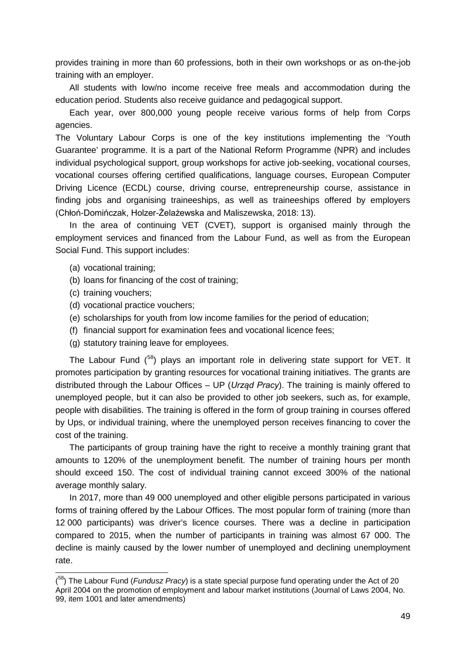provides training in more than 60 professions, both in their own workshops or as on-the-job training with an employer.

All students with low/no income receive free meals and accommodation during the education period. Students also receive guidance and pedagogical support.

Each year, over 800,000 young people receive various forms of help from Corps agencies.

The Voluntary Labour Corps is one of the key institutions implementing the 'Youth Guarantee' programme. It is a part of the National Reform Programme (NPR) and includes individual psychological support, group workshops for active job-seeking, vocational courses, vocational courses offering certified qualifications, language courses, European Computer Driving Licence (ECDL) course, driving course, entrepreneurship course, assistance in finding jobs and organising traineeships, as well as traineeships offered by employers (Chłoń-Domińczak, Holzer-Żelażewska and Maliszewska, 2018: 13).

In the area of continuing VET (CVET), support is organised mainly through the employment services and financed from the Labour Fund, as well as from the European Social Fund. This support includes:

- (a) vocational training;
- (b) loans for financing of the cost of training;
- (c) training vouchers;

-

- (d) vocational practice vouchers;
- (e) scholarships for youth from low income families for the period of education;
- (f) financial support for examination fees and vocational licence fees;
- (g) statutory training leave for employees.

The Labour Fund (<sup>[58](#page-49-0)</sup>) plays an important role in delivering state support for VET. It promotes participation by granting resources for vocational training initiatives. The grants are distributed through the Labour Offices – UP (*Urząd Pracy*). The training is mainly offered to unemployed people, but it can also be provided to other job seekers, such as, for example, people with disabilities. The training is offered in the form of group training in courses offered by Ups, or individual training, where the unemployed person receives financing to cover the cost of the training.

The participants of group training have the right to receive a monthly training grant that amounts to 120% of the unemployment benefit. The number of training hours per month should exceed 150. The cost of individual training cannot exceed 300% of the national average monthly salary.

In 2017, more than 49 000 unemployed and other eligible persons participated in various forms of training offered by the Labour Offices. The most popular form of training (more than 12 000 participants) was driver's licence courses. There was a decline in participation compared to 2015, when the number of participants in training was almost 67 000. The decline is mainly caused by the lower number of unemployed and declining unemployment rate.

<span id="page-49-0"></span><sup>(</sup> 58) The Labour Fund (*Fundusz Pracy*) is a state special purpose fund operating under the Act of 20 April 2004 on the promotion of employment and labour market institutions (Journal of Laws 2004, No. 99, item 1001 and later amendments)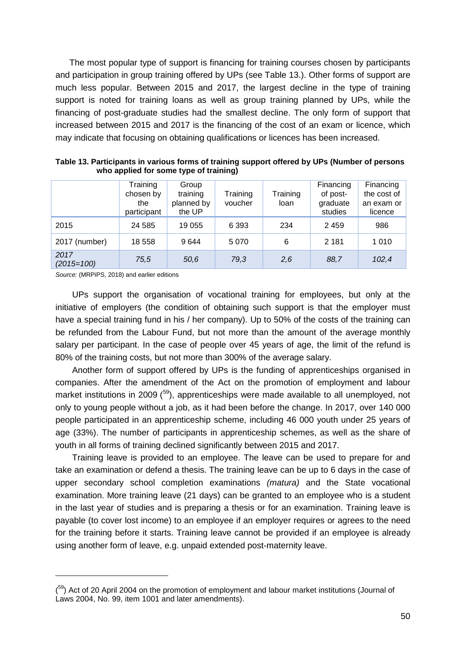The most popular type of support is financing for training courses chosen by participants and participation in group training offered by UPs (see Table 13.). Other forms of support are much less popular. Between 2015 and 2017, the largest decline in the type of training support is noted for training loans as well as group training planned by UPs, while the financing of post-graduate studies had the smallest decline. The only form of support that increased between 2015 and 2017 is the financing of the cost of an exam or licence, which may indicate that focusing on obtaining qualifications or licences has been increased.

|                      | Training<br>chosen by<br>the<br>participant | Group<br>training<br>planned by<br>the UP | Training<br>voucher | Training<br>loan | Financing<br>of post-<br>graduate<br>studies | Financing<br>the cost of<br>an exam or<br>licence |
|----------------------|---------------------------------------------|-------------------------------------------|---------------------|------------------|----------------------------------------------|---------------------------------------------------|
| 2015                 | 24 5 8 5                                    | 19 055                                    | 6 3 9 3             | 234              | 2 4 5 9                                      | 986                                               |
| 2017 (number)        | 18 558                                      | 9644                                      | 5070                | 6                | 2 1 8 1                                      | 1 0 1 0                                           |
| 2017<br>$(2015=100)$ | 75,5                                        | 50,6                                      | 79,3                | 2,6              | 88,7                                         | 102,4                                             |

<span id="page-50-0"></span>**Table 13. Participants in various forms of training support offered by UPs (Number of persons who applied for some type of training)**

*Source:* (MRPiPS, 2018) and earlier editions

-

UPs support the organisation of vocational training for employees, but only at the initiative of employers (the condition of obtaining such support is that the employer must have a special training fund in his / her company). Up to 50% of the costs of the training can be refunded from the Labour Fund, but not more than the amount of the average monthly salary per participant. In the case of people over 45 years of age, the limit of the refund is 80% of the training costs, but not more than 300% of the average salary.

Another form of support offered by UPs is the funding of apprenticeships organised in companies. After the amendment of the Act on the promotion of employment and labour market institutions in 2009 (<sup>[59](#page-50-1)</sup>), apprenticeships were made available to all unemployed, not only to young people without a job, as it had been before the change. In 2017, over 140 000 people participated in an apprenticeship scheme, including 46 000 youth under 25 years of age (33%). The number of participants in apprenticeship schemes, as well as the share of youth in all forms of training declined significantly between 2015 and 2017.

Training leave is provided to an employee. The leave can be used to prepare for and take an examination or defend a thesis. The training leave can be up to 6 days in the case of upper secondary school completion examinations *(matura)* and the State vocational examination. More training leave (21 days) can be granted to an employee who is a student in the last year of studies and is preparing a thesis or for an examination. Training leave is payable (to cover lost income) to an employee if an employer requires or agrees to the need for the training before it starts. Training leave cannot be provided if an employee is already using another form of leave, e.g. unpaid extended post-maternity leave.

<span id="page-50-1"></span><sup>(&</sup>lt;sup>59</sup>) Act of 20 April 2004 on the promotion of employment and labour market institutions (Journal of Laws 2004, No. 99, item 1001 and later amendments).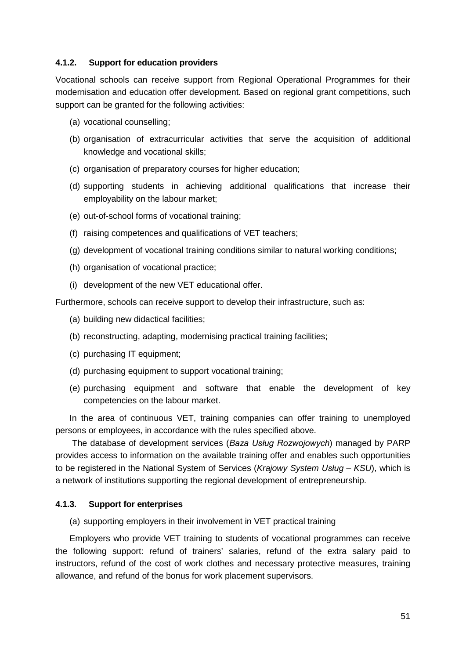#### **4.1.2. Support for education providers**

Vocational schools can receive support from Regional Operational Programmes for their modernisation and education offer development. Based on regional grant competitions, such support can be granted for the following activities:

- (a) vocational counselling;
- (b) organisation of extracurricular activities that serve the acquisition of additional knowledge and vocational skills;
- (c) organisation of preparatory courses for higher education;
- (d) supporting students in achieving additional qualifications that increase their employability on the labour market;
- (e) out-of-school forms of vocational training;
- (f) raising competences and qualifications of VET teachers;
- (g) development of vocational training conditions similar to natural working conditions;
- (h) organisation of vocational practice;
- (i) development of the new VET educational offer.

Furthermore, schools can receive support to develop their infrastructure, such as:

- (a) building new didactical facilities;
- (b) reconstructing, adapting, modernising practical training facilities;
- (c) purchasing IT equipment;
- (d) purchasing equipment to support vocational training;
- (e) purchasing equipment and software that enable the development of key competencies on the labour market.

In the area of continuous VET, training companies can offer training to unemployed persons or employees, in accordance with the rules specified above.

The database of development services (*Baza Usług Rozwojowych*) managed by PARP provides access to information on the available training offer and enables such opportunities to be registered in the National System of Services (*Krajowy System Usług – KSU*), which is a network of institutions supporting the regional development of entrepreneurship.

#### **4.1.3. Support for enterprises**

(a) supporting employers in their involvement in VET practical training

Employers who provide VET training to students of vocational programmes can receive the following support: refund of trainers' salaries, refund of the extra salary paid to instructors, refund of the cost of work clothes and necessary protective measures, training allowance, and refund of the bonus for work placement supervisors.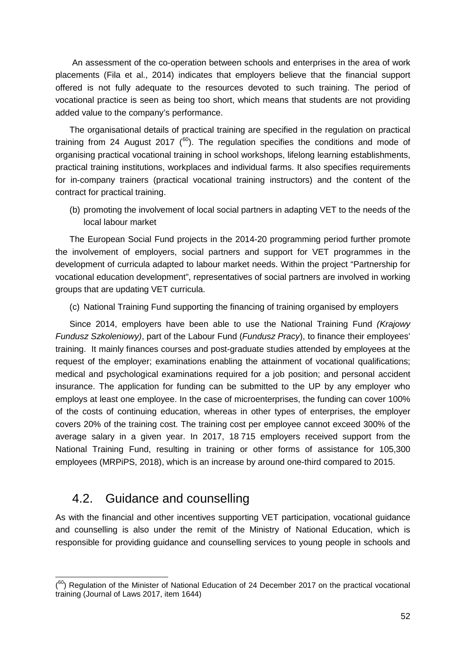An assessment of the co-operation between schools and enterprises in the area of work placements (Fila et al., 2014) indicates that employers believe that the financial support offered is not fully adequate to the resources devoted to such training. The period of vocational practice is seen as being too short, which means that students are not providing added value to the company's performance.

The organisational details of practical training are specified in the regulation on practical training from 24 August 2017 ( $^{60}$ ). The regulation specifies the conditions and mode of organising practical vocational training in school workshops, lifelong learning establishments, practical training institutions, workplaces and individual farms. It also specifies requirements for in-company trainers (practical vocational training instructors) and the content of the contract for practical training.

(b) promoting the involvement of local social partners in adapting VET to the needs of the local labour market

The European Social Fund projects in the 2014-20 programming period further promote the involvement of employers, social partners and support for VET programmes in the development of curricula adapted to labour market needs. Within the project "Partnership for vocational education development", representatives of social partners are involved in working groups that are updating VET curricula.

(c) National Training Fund supporting the financing of training organised by employers

Since 2014, employers have been able to use the National Training Fund *(Krajowy Fundusz Szkoleniowy)*, part of the Labour Fund (*Fundusz Pracy*), to finance their employees' training. It mainly finances courses and post-graduate studies attended by employees at the request of the employer; examinations enabling the attainment of vocational qualifications; medical and psychological examinations required for a job position; and personal accident insurance. The application for funding can be submitted to the UP by any employer who employs at least one employee. In the case of microenterprises, the funding can cover 100% of the costs of continuing education, whereas in other types of enterprises, the employer covers 20% of the training cost. The training cost per employee cannot exceed 300% of the average salary in a given year. In 2017, 18 715 employers received support from the National Training Fund, resulting in training or other forms of assistance for 105,300 employees (MRPiPS, 2018), which is an increase by around one-third compared to 2015.

### <span id="page-52-0"></span>4.2. Guidance and counselling

As with the financial and other incentives supporting VET participation, vocational guidance and counselling is also under the remit of the Ministry of National Education, which is responsible for providing guidance and counselling services to young people in schools and

<span id="page-52-1"></span><sup>-</sup> $(60)$  Regulation of the Minister of National Education of 24 December 2017 on the practical vocational training (Journal of Laws 2017, item 1644)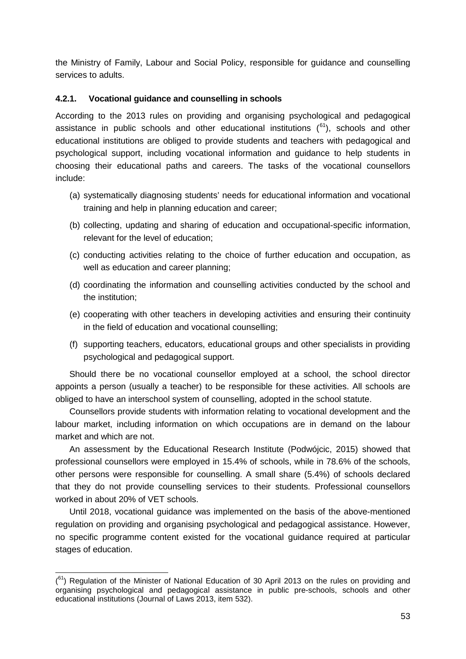the Ministry of Family, Labour and Social Policy, responsible for guidance and counselling services to adults.

#### **4.2.1. Vocational guidance and counselling in schools**

According to the 2013 rules on providing and organising psychological and pedagogical assistance in public schools and other educational institutions  $(^{61})$  $(^{61})$  $(^{61})$ , schools and other educational institutions are obliged to provide students and teachers with pedagogical and psychological support, including vocational information and guidance to help students in choosing their educational paths and careers. The tasks of the vocational counsellors include:

- (a) systematically diagnosing students' needs for educational information and vocational training and help in planning education and career;
- (b) collecting, updating and sharing of education and occupational-specific information, relevant for the level of education;
- (c) conducting activities relating to the choice of further education and occupation, as well as education and career planning;
- (d) coordinating the information and counselling activities conducted by the school and the institution;
- (e) cooperating with other teachers in developing activities and ensuring their continuity in the field of education and vocational counselling;
- (f) supporting teachers, educators, educational groups and other specialists in providing psychological and pedagogical support.

Should there be no vocational counsellor employed at a school, the school director appoints a person (usually a teacher) to be responsible for these activities. All schools are obliged to have an interschool system of counselling, adopted in the school statute.

Counsellors provide students with information relating to vocational development and the labour market, including information on which occupations are in demand on the labour market and which are not.

An assessment by the Educational Research Institute (Podwójcic, 2015) showed that professional counsellors were employed in 15.4% of schools, while in 78.6% of the schools, other persons were responsible for counselling. A small share (5.4%) of schools declared that they do not provide counselling services to their students. Professional counsellors worked in about 20% of VET schools.

Until 2018, vocational guidance was implemented on the basis of the above-mentioned regulation on providing and organising psychological and pedagogical assistance. However, no specific programme content existed for the vocational guidance required at particular stages of education.

<span id="page-53-0"></span><sup>-</sup> $(61)$  Regulation of the Minister of National Education of 30 April 2013 on the rules on providing and organising psychological and pedagogical assistance in public pre-schools, schools and other educational institutions (Journal of Laws 2013, item 532).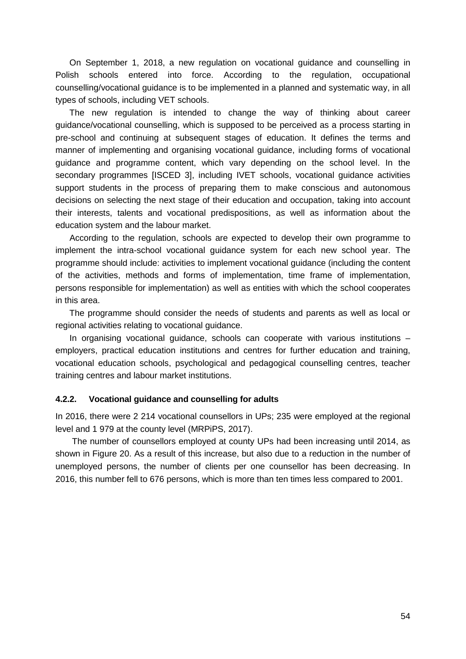On September 1, 2018, a new regulation on vocational guidance and counselling in Polish schools entered into force. According to the regulation, occupational counselling/vocational guidance is to be implemented in a planned and systematic way, in all types of schools, including VET schools.

The new regulation is intended to change the way of thinking about career guidance/vocational counselling, which is supposed to be perceived as a process starting in pre-school and continuing at subsequent stages of education. It defines the terms and manner of implementing and organising vocational guidance, including forms of vocational guidance and programme content, which vary depending on the school level. In the secondary programmes [ISCED 3], including IVET schools, vocational guidance activities support students in the process of preparing them to make conscious and autonomous decisions on selecting the next stage of their education and occupation, taking into account their interests, talents and vocational predispositions, as well as information about the education system and the labour market.

According to the regulation, schools are expected to develop their own programme to implement the intra-school vocational guidance system for each new school year. The programme should include: activities to implement vocational guidance (including the content of the activities, methods and forms of implementation, time frame of implementation, persons responsible for implementation) as well as entities with which the school cooperates in this area.

The programme should consider the needs of students and parents as well as local or regional activities relating to vocational guidance.

In organising vocational guidance, schools can cooperate with various institutions – employers, practical education institutions and centres for further education and training, vocational education schools, psychological and pedagogical counselling centres, teacher training centres and labour market institutions.

#### **4.2.2. Vocational guidance and counselling for adults**

In 2016, there were 2 214 vocational counsellors in UPs; 235 were employed at the regional level and 1 979 at the county level (MRPiPS, 2017).

The number of counsellors employed at county UPs had been increasing until 2014, as shown in Figure 20. As a result of this increase, but also due to a reduction in the number of unemployed persons, the number of clients per one counsellor has been decreasing. In 2016, this number fell to 676 persons, which is more than ten times less compared to 2001.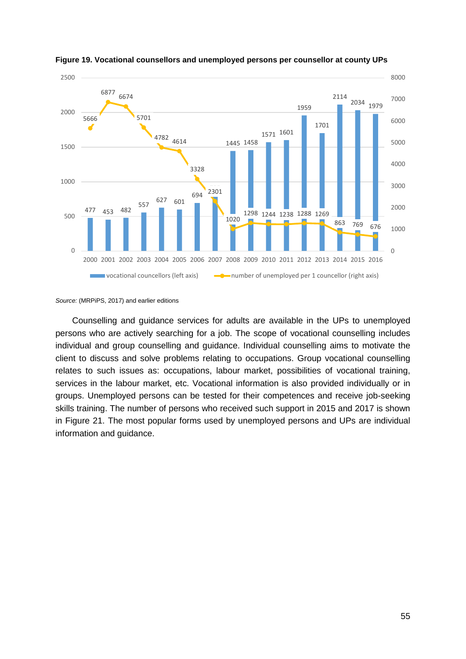

<span id="page-55-0"></span>

Counselling and guidance services for adults are available in the UPs to unemployed persons who are actively searching for a job. The scope of vocational counselling includes individual and group counselling and guidance. Individual counselling aims to motivate the client to discuss and solve problems relating to occupations. Group vocational counselling relates to such issues as: occupations, labour market, possibilities of vocational training, services in the labour market, etc. Vocational information is also provided individually or in groups. Unemployed persons can be tested for their competences and receive job-seeking skills training. The number of persons who received such support in 2015 and 2017 is shown in Figure 21. The most popular forms used by unemployed persons and UPs are individual information and guidance.

*Source:* (MRPiPS, 2017) and earlier editions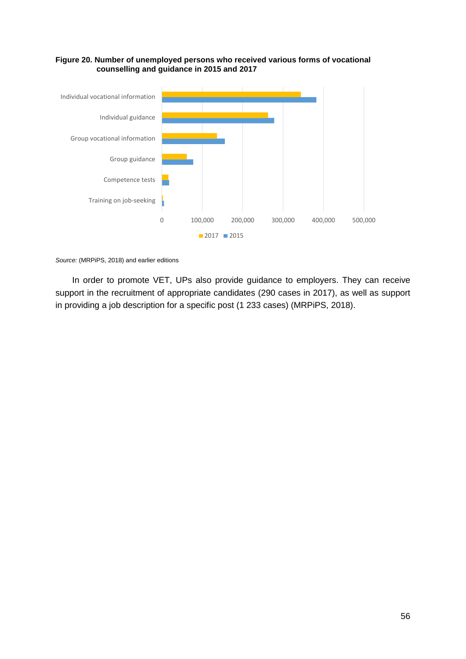

#### <span id="page-56-0"></span>**Figure 20. Number of unemployed persons who received various forms of vocational counselling and guidance in 2015 and 2017**

*Source:* (MRPiPS, 2018) and earlier editions

In order to promote VET, UPs also provide guidance to employers. They can receive support in the recruitment of appropriate candidates (290 cases in 2017), as well as support in providing a job description for a specific post (1 233 cases) (MRPiPS, 2018).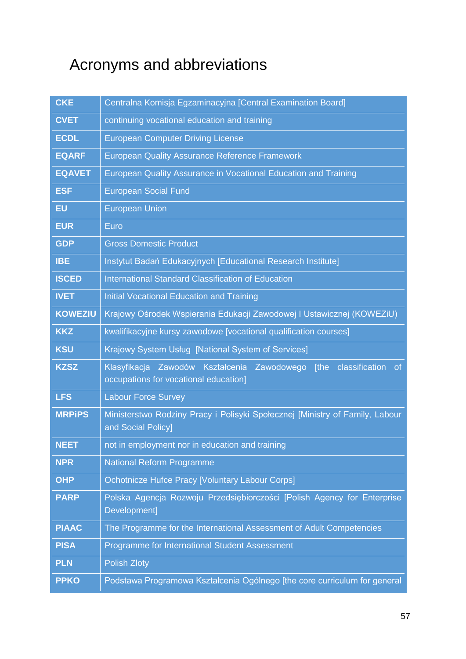## <span id="page-57-0"></span>Acronyms and abbreviations

| <b>CKE</b>     | Centralna Komisja Egzaminacyjna [Central Examination Board]                                                        |
|----------------|--------------------------------------------------------------------------------------------------------------------|
| <b>CVET</b>    | continuing vocational education and training                                                                       |
| <b>ECDL</b>    | <b>European Computer Driving License</b>                                                                           |
| <b>EQARF</b>   | <b>European Quality Assurance Reference Framework</b>                                                              |
| <b>EQAVET</b>  | European Quality Assurance in Vocational Education and Training                                                    |
| <b>ESF</b>     | <b>European Social Fund</b>                                                                                        |
| <b>EU</b>      | <b>European Union</b>                                                                                              |
| <b>EUR</b>     | Euro                                                                                                               |
| <b>GDP</b>     | <b>Gross Domestic Product</b>                                                                                      |
| <b>IBE</b>     | Instytut Badań Edukacyjnych [Educational Research Institute]                                                       |
| <b>ISCED</b>   | <b>International Standard Classification of Education</b>                                                          |
| <b>IVET</b>    | <b>Initial Vocational Education and Training</b>                                                                   |
| <b>KOWEZIU</b> | Krajowy Ośrodek Wspierania Edukacji Zawodowej I Ustawicznej (KOWEZiU)                                              |
| <b>KKZ</b>     | kwalifikacyjne kursy zawodowe [vocational qualification courses]                                                   |
|                |                                                                                                                    |
| <b>KSU</b>     | Krajowy System Usług [National System of Services]                                                                 |
| <b>KZSZ</b>    | Klasyfikacja Zawodów Kształcenia Zawodowego<br>[the classification<br>of.<br>occupations for vocational education] |
| <b>LFS</b>     | <b>Labour Force Survey</b>                                                                                         |
| <b>MRPIPS</b>  | Ministerstwo Rodziny Pracy i Polisyki Społecznej [Ministry of Family, Labour<br>and Social Policy]                 |
| <b>NEET</b>    | not in employment nor in education and training                                                                    |
| <b>NPR</b>     | <b>National Reform Programme</b>                                                                                   |
| <b>OHP</b>     | <b>Ochotnicze Hufce Pracy [Voluntary Labour Corps]</b>                                                             |
| <b>PARP</b>    | Polska Agencja Rozwoju Przedsiębiorczości [Polish Agency for Enterprise<br>Development]                            |
| <b>PIAAC</b>   | The Programme for the International Assessment of Adult Competencies                                               |
| <b>PISA</b>    | Programme for International Student Assessment                                                                     |
| <b>PLN</b>     | <b>Polish Zloty</b>                                                                                                |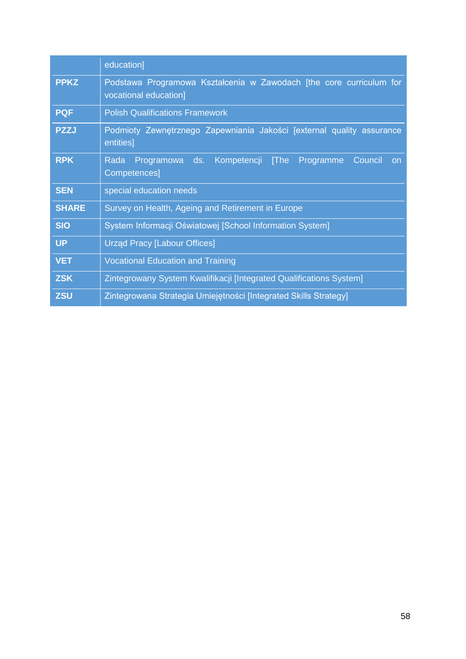|              | education]                                                                                                  |
|--------------|-------------------------------------------------------------------------------------------------------------|
| <b>PPKZ</b>  | Podstawa Programowa Kształcenia w Zawodach [the core curriculum for<br>vocational education]                |
| <b>PQF</b>   | <b>Polish Qualifications Framework</b>                                                                      |
| <b>PZZJ</b>  | Podmioty Zewnętrznego Zapewniania Jakości [external quality assurance<br>entities]                          |
| <b>RPK</b>   | Programowa<br>ds.<br>Kompetencji<br><b>The</b><br>Programme<br>Council<br>Rada<br><b>on</b><br>Competences] |
| <b>SEN</b>   | special education needs                                                                                     |
| <b>SHARE</b> | Survey on Health, Ageing and Retirement in Europe                                                           |
| <b>SIO</b>   | System Informacji Oświatowej [School Information System]                                                    |
| <b>UP</b>    | <b>Urząd Pracy [Labour Offices]</b>                                                                         |
| <b>VET</b>   | <b>Vocational Education and Training</b>                                                                    |
| <b>ZSK</b>   | Zintegrowany System Kwalifikacji [Integrated Qualifications System]                                         |
| <b>ZSU</b>   | Zintegrowana Strategia Umiejętności [Integrated Skills Strategy]                                            |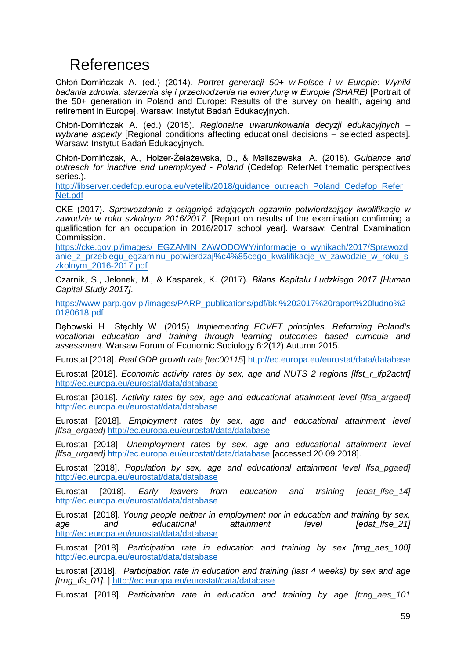## <span id="page-59-0"></span>References

Chłoń-Domińczak A. (ed.) (2014). *Portret generacji 50+ w Polsce i w Europie: Wyniki badania zdrowia, starzenia się i przechodzenia na emeryturę w Europie (SHARE)* [Portrait of the 50+ generation in Poland and Europe: Results of the survey on health, ageing and retirement in Europe]. Warsaw: Instytut Badań Edukacyjnych.

Chłoń-Domińczak A. (ed.) (2015). *Regionalne uwarunkowania decyzji edukacyjnych – wybrane aspekty* [Regional conditions affecting educational decisions – selected aspects]. Warsaw: Instytut Badań Edukacyjnych.

Chłoń-Domińczak, A., Holzer-Żelażewska, D., & Maliszewska, A. (2018). *Guidance and outreach for inactive and unemployed - Poland* (Cedefop ReferNet thematic perspectives series.).

http://libserver.cedefop.europa.eu/vetelib/2018/guidance\_outreach\_Poland\_Cedefop\_Refer [Net.pdf](http://libserver.cedefop.europa.eu/vetelib/2018/guidance_outreach_Poland_Cedefop_Refer%20Net.pdf)

CKE (2017). *Sprawozdanie z osiągnięć zdających egzamin potwierdzający kwalifikacje w zawodzie w roku szkolnym 2016/2017*. [Report on results of the examination confirming a qualification for an occupation in 2016/2017 school year]. Warsaw: Central Examination Commission.

[https://cke.gov.pl/images/\\_EGZAMIN\\_ZAWODOWY/informacje\\_o\\_wynikach/2017/Sprawozd](https://cke.gov.pl/images/_EGZAMIN_ZAWODOWY/informacje_o_wynikach/2017/Sprawozdanie_z_przebiegu_egzaminu_potwierdzaj%c4%85cego_kwalifikacje_w_zawodzie_w_roku_szkolnym_2016-2017.pdf) anie z przebiegu egzaminu potwierdzaj%c4%85cego kwalifikacje w zawodzie w roku s [zkolnym\\_2016-2017.pdf](https://cke.gov.pl/images/_EGZAMIN_ZAWODOWY/informacje_o_wynikach/2017/Sprawozdanie_z_przebiegu_egzaminu_potwierdzaj%c4%85cego_kwalifikacje_w_zawodzie_w_roku_szkolnym_2016-2017.pdf)

Czarnik, S., Jelonek, M., & Kasparek, K. (2017). *Bilans Kapitału Ludzkiego 2017 [Human Capital Study 2017]*.

[https://www.parp.gov.pl/images/PARP\\_publications/pdf/bkl%202017%20raport%20ludno%2](https://www.parp.gov.pl/images/PARP_publications/pdf/bkl%202017%20raport%20ludno%20180618.pdf) [0180618.pdf](https://www.parp.gov.pl/images/PARP_publications/pdf/bkl%202017%20raport%20ludno%20180618.pdf)

Dębowski H.; Stęchły W. (2015). *Implementing ECVET principles. Reforming Poland's vocational education and training through learning outcomes based curricula and assessment.* Warsaw Forum of Economic Sociology 6:2(12) Autumn 2015.

Eurostat [2018]. *Real GDP growth rate [tec00115*]<http://ec.europa.eu/eurostat/data/database>

Eurostat [2018]. *Economic activity rates by sex, age and NUTS 2 regions [lfst\_r\_lfp2actrt]* <http://ec.europa.eu/eurostat/data/database>

Eurostat [2018]. *Activity rates by sex, age and educational attainment level [lfsa\_argaed]* <http://ec.europa.eu/eurostat/data/database>

Eurostat [2018]. *Employment rates by sex, age and educational attainment level [lfsa\_ergaed]* <http://ec.europa.eu/eurostat/data/database>

Eurostat [2018]. *Unemployment rates by sex, age and educational attainment level [lfsa\_urgaed]* <http://ec.europa.eu/eurostat/data/database> [accessed 20.09.2018].

Eurostat [2018]. *Population by sex, age and educational attainment level lfsa\_pgaed]* <http://ec.europa.eu/eurostat/data/database>

Eurostat [2018]. *Early leavers from education and training [edat\_lfse\_14]* <http://ec.europa.eu/eurostat/data/database>

Eurostat [2018]. *Young people neither in employment nor in education and training by sex, age and educational attainment level [edat\_lfse\_21]* <http://ec.europa.eu/eurostat/data/database>

Eurostat [2018]. *Participation rate in education and training by sex [trng\_aes\_100]*  <http://ec.europa.eu/eurostat/data/database>

Eurostat [2018]. *Participation rate in education and training (last 4 weeks) by sex and age [trng\_lfs\_01].* ] <http://ec.europa.eu/eurostat/data/database>

Eurostat [2018]. *Participation rate in education and training by age [trng\_aes\_101*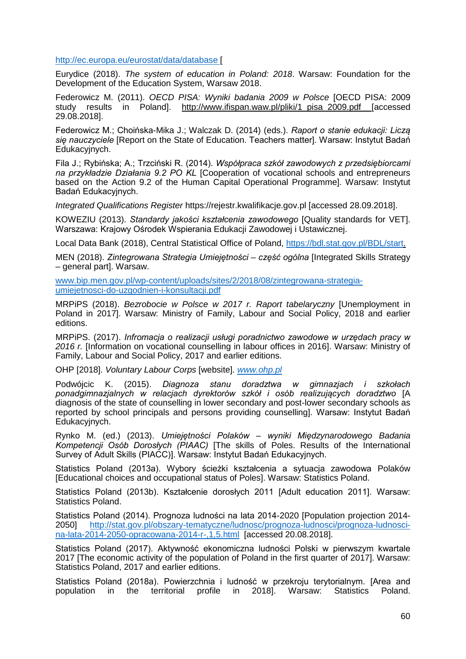<http://ec.europa.eu/eurostat/data/database> [

Eurydice (2018). *The system of education in Poland: 2018*. Warsaw: Foundation for the Development of the Education System, Warsaw 2018.

Federowicz M. (2011). *OECD PISA: Wyniki badania 2009 w Polsce* [OECD PISA: 2009 study results in Poland]. [http://www.ifispan.waw.pl/pliki/1\\_pisa\\_2009.pdf](http://www.ifispan.waw.pl/pliki/1_pisa_2009.pdf) [accessed 29.08.2018].

Federowicz M.; Choińska-Mika J.; Walczak D. (2014) (eds.). *Raport o stanie edukacji: Liczą się nauczyciele* [Report on the State of Education. Teachers matter]. Warsaw: Instytut Badań Edukacyjnych.

Fila J.; Rybińska; A.; Trzciński R. (2014). *Współpraca szkół zawodowych z przedsiębiorcami na przykładzie Działania 9.2 PO KL* [Cooperation of vocational schools and entrepreneurs based on the Action 9.2 of the Human Capital Operational Programme]. Warsaw: Instytut Badań Edukacyjnych.

*Integrated Qualifications Register* https://rejestr.kwalifikacje.gov.pl [accessed 28.09.2018].

KOWEZIU (2013). *Standardy jakości kształcenia zawodowego* [Quality standards for VET]. Warszawa: Krajowy Ośrodek Wspierania Edukacji Zawodowej i Ustawicznej.

Local Data Bank (2018), Central Statistical Office of Poland, [https://bdl.stat.gov.pl/BDL/start.](https://bdl.stat.gov.pl/BDL/start)

MEN (2018). *Zintegrowana Strategia Umiejętności – część ogólna* [Integrated Skills Strategy – general part]. Warsaw.

[www.bip.men.gov.pl/wp-content/uploads/sites/2/2018/08/zintegrowana-strategia](http://www.bip.men.gov.pl/wp-content/uploads/sites/2/2018/08/zintegrowana-strategia-umiejetnosci-do-uzgodnien-i-konsultacji.pdf)[umiejetnosci-do-uzgodnien-i-konsultacji.pdf](http://www.bip.men.gov.pl/wp-content/uploads/sites/2/2018/08/zintegrowana-strategia-umiejetnosci-do-uzgodnien-i-konsultacji.pdf)

MRPiPS (2018). *Bezrobocie w Polsce w 2017 r. Raport tabelaryczny* [Unemployment in Poland in 2017]. Warsaw: Ministry of Family, Labour and Social Policy, 2018 and earlier editions.

MRPiPS. (2017). *Infromacja o realizacji usługi poradnictwo zawodowe w urzędach pracy w 2016 r.* [Information on vocational counselling in labour offices in 2016]. Warsaw: Ministry of Family, Labour and Social Policy, 2017 and earlier editions.

OHP [2018]. *Voluntary Labour Corps* [website]*. [www.ohp.pl](http://www.ohp.pl/)*

Podwójcic K. (2015). *Diagnoza stanu doradztwa w gimnazjach i szkołach ponadgimnazjalnych w relacjach dyrektorów szkół i osób realizujących doradztwo* [A diagnosis of the state of counselling in lower secondary and post-lower secondary schools as reported by school principals and persons providing counselling]. Warsaw: Instytut Badań Edukacyjnych.

Rynko M. (ed.) (2013). *Umiejętności Polaków – wyniki Międzynarodowego Badania Kompetencji Osób Dorosłych (PIAAC)* [The skills of Poles. Results of the International Survey of Adult Skills (PIACC)]. Warsaw: Instytut Badań Edukacyjnych.

Statistics Poland (2013a). Wybory ścieżki kształcenia a sytuacja zawodowa Polaków [Educational choices and occupational status of Poles]. Warsaw: Statistics Poland.

Statistics Poland (2013b). Kształcenie dorosłych 2011 [Adult education 2011]. Warsaw: Statistics Poland.

Statistics Poland (2014). Prognoza ludności na lata 2014-2020 [Population projection 2014- 2050] [http://stat.gov.pl/obszary-tematyczne/ludnosc/prognoza-ludnosci/prognoza-ludnosci](http://stat.gov.pl/obszary-tematyczne/ludnosc/prognoza-ludnosci/prognoza-ludnosci-na-lata-2014-2050-opracowana-2014-r-,1,5.html)[na-lata-2014-2050-opracowana-2014-r-,1,5.html](http://stat.gov.pl/obszary-tematyczne/ludnosc/prognoza-ludnosci/prognoza-ludnosci-na-lata-2014-2050-opracowana-2014-r-,1,5.html) [accessed 20.08.2018].

Statistics Poland (2017). Aktywność ekonomiczna ludności Polski w pierwszym kwartale 2017 [The economic activity of the population of Poland in the first quarter of 2017]. Warsaw: Statistics Poland, 2017 and earlier editions.

Statistics Poland (2018a). Powierzchnia i ludność w przekroju terytorialnym. [Area and population in the territorial profile in 2018]. Warsaw: Statistics Poland.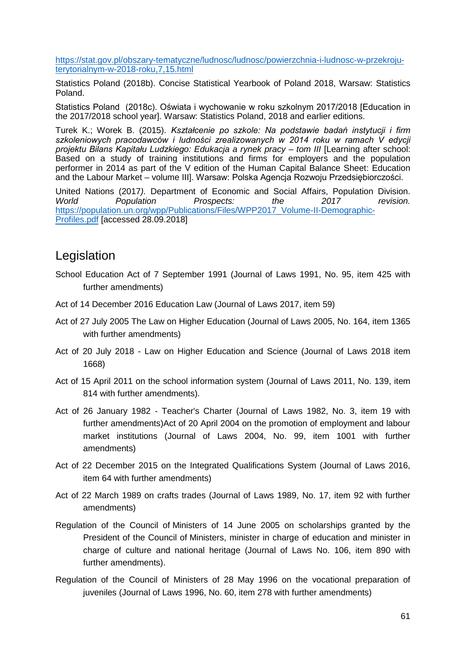[https://stat.gov.pl/obszary-tematyczne/ludnosc/ludnosc/powierzchnia-i-ludnosc-w-przekroju](https://stat.gov.pl/obszary-tematyczne/ludnosc/ludnosc/powierzchnia-i-ludnosc-w-przekroju-terytorialnym-w-2018-roku,7,15.html)[terytorialnym-w-2018-roku,7,15.html](https://stat.gov.pl/obszary-tematyczne/ludnosc/ludnosc/powierzchnia-i-ludnosc-w-przekroju-terytorialnym-w-2018-roku,7,15.html)

Statistics Poland (2018b). Concise Statistical Yearbook of Poland 2018, Warsaw: Statistics Poland.

Statistics Poland (2018c). Oświata i wychowanie w roku szkolnym 2017/2018 [Education in the 2017/2018 school year]. Warsaw: Statistics Poland, 2018 and earlier editions.

Turek K.; Worek B. (2015). *Kształcenie po szkole: Na podstawie badań instytucji i firm szkoleniowych pracodawców i ludności zrealizowanych w 2014 roku w ramach V edycji projektu Bilans Kapitału Ludzkiego: Edukacja a rynek pracy – tom III* [Learning after school: Based on a study of training institutions and firms for employers and the population performer in 2014 as part of the V edition of the Human Capital Balance Sheet: Education and the Labour Market – volume III]. Warsaw: Polska Agencja Rozwoju Przedsiębiorczości.

United Nations (2017*).* Department of Economic and Social Affairs, Population Division. *Prospects:* [https://population.un.org/wpp/Publications/Files/WPP2017\\_Volume-II-Demographic-](https://population.un.org/wpp/Publications/Files/WPP2017_Volume-II-Demographic-Profiles.pdf)[Profiles.pdf](https://population.un.org/wpp/Publications/Files/WPP2017_Volume-II-Demographic-Profiles.pdf) [accessed 28.09.2018]

### <span id="page-61-0"></span>Legislation

- School Education Act of 7 September 1991 (Journal of Laws 1991, No. 95, item 425 with further amendments)
- Act of 14 December 2016 Education Law (Journal of Laws 2017, item 59)
- Act of 27 July 2005 The Law on Higher Education (Journal of Laws 2005, No. 164, item 1365 with further amendments)
- Act of 20 July 2018 Law on Higher Education and Science (Journal of Laws 2018 item 1668)
- Act of 15 April 2011 on the school information system (Journal of Laws 2011, No. 139, item 814 with further amendments).
- Act of 26 January 1982 Teacher's Charter (Journal of Laws 1982, No. 3, item 19 with further amendments)Act of 20 April 2004 on the promotion of employment and labour market institutions (Journal of Laws 2004, No. 99, item 1001 with further amendments)
- Act of 22 December 2015 on the Integrated Qualifications System (Journal of Laws 2016, item 64 with further amendments)
- Act of 22 March 1989 on crafts trades (Journal of Laws 1989, No. 17, item 92 with further amendments)
- Regulation of the Council of Ministers of 14 June 2005 on scholarships granted by the President of the Council of Ministers, minister in charge of education and minister in charge of culture and national heritage (Journal of Laws No. 106, item 890 with further amendments).
- Regulation of the Council of Ministers of 28 May 1996 on the vocational preparation of juveniles (Journal of Laws 1996, No. 60, item 278 with further amendments)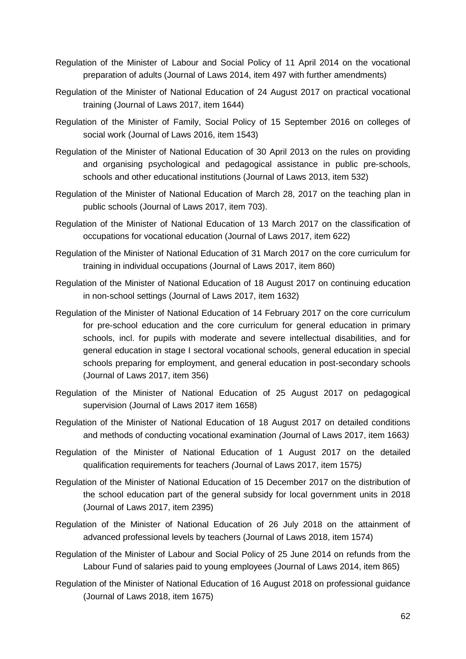- Regulation of the Minister of Labour and Social Policy of 11 April 2014 on the vocational preparation of adults (Journal of Laws 2014, item 497 with further amendments)
- Regulation of the Minister of National Education of 24 August 2017 on practical vocational training (Journal of Laws 2017, item 1644)
- Regulation of the Minister of Family, Social Policy of 15 September 2016 on colleges of social work (Journal of Laws 2016, item 1543)
- Regulation of the Minister of National Education of 30 April 2013 on the rules on providing and organising psychological and pedagogical assistance in public pre-schools, schools and other educational institutions (Journal of Laws 2013, item 532)
- Regulation of the Minister of National Education of March 28, 2017 on the teaching plan in public schools (Journal of Laws 2017, item 703).
- Regulation of the Minister of National Education of 13 March 2017 on the classification of occupations for vocational education (Journal of Laws 2017, item 622)
- Regulation of the Minister of National Education of 31 March 2017 on the core curriculum for training in individual occupations (Journal of Laws 2017, item 860)
- Regulation of the Minister of National Education of 18 August 2017 on continuing education in non-school settings (Journal of Laws 2017, item 1632)
- Regulation of the Minister of National Education of 14 February 2017 on the core curriculum for pre-school education and the core curriculum for general education in primary schools, incl. for pupils with moderate and severe intellectual disabilities, and for general education in stage I sectoral vocational schools, general education in special schools preparing for employment, and general education in post-secondary schools (Journal of Laws 2017, item 356)
- Regulation of the Minister of National Education of 25 August 2017 on pedagogical supervision (Journal of Laws 2017 item 1658)
- Regulation of the Minister of National Education of 18 August 2017 on detailed conditions and methods of conducting vocational examination *(*Journal of Laws 2017, item 1663*)*
- Regulation of the Minister of National Education of 1 August 2017 on the detailed qualification requirements for teachers *(*Journal of Laws 2017, item 1575*)*
- Regulation of the Minister of National Education of 15 December 2017 on the distribution of the school education part of the general subsidy for local government units in 2018 (Journal of Laws 2017, item 2395)
- Regulation of the Minister of National Education of 26 July 2018 on the attainment of advanced professional levels by teachers (Journal of Laws 2018, item 1574)
- Regulation of the Minister of Labour and Social Policy of 25 June 2014 on refunds from the Labour Fund of salaries paid to young employees (Journal of Laws 2014, item 865)
- Regulation of the Minister of National Education of 16 August 2018 on professional guidance (Journal of Laws 2018, item 1675)